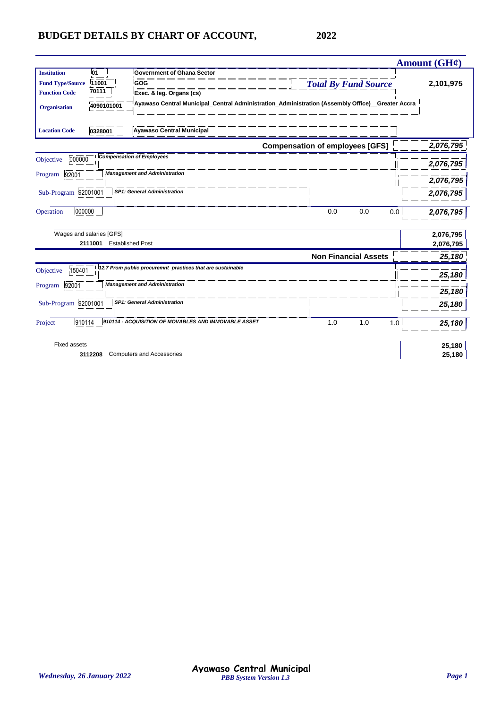|                                   |                                                            |                                                                                                 | Amount (GH¢)     |
|-----------------------------------|------------------------------------------------------------|-------------------------------------------------------------------------------------------------|------------------|
| <b>Institution</b><br>l01         | <b>Government of Ghana Sector</b>                          |                                                                                                 |                  |
| 11001<br><b>Fund Type/Source</b>  | GOG                                                        | <b>Total By Fund Source</b>                                                                     | 2,101,975        |
| 70111<br><b>Function Code</b>     | Exec. & leg. Organs (cs)                                   |                                                                                                 |                  |
| 4090101001<br><b>Organisation</b> |                                                            | Ayawaso Central Municipal Central Administration Administration (Assembly Office) Greater Accra |                  |
| <b>Location Code</b><br>0328001   | <b>Ayawaso Central Municipal</b>                           |                                                                                                 |                  |
|                                   |                                                            | <b>Compensation of employees [GFS]</b>                                                          | 2,076,795        |
| 000000<br>Objective               | <b>Compensation of Employees</b>                           |                                                                                                 |                  |
|                                   | <b>Management and Administration</b>                       |                                                                                                 | 2,076,795        |
| 92001<br>Program                  |                                                            |                                                                                                 | 2,076,795        |
| Sub-Program 92001001              | SP1: General Administration                                |                                                                                                 | 2,076,795        |
| 000000<br>Operation               |                                                            | 0.0<br>0.0                                                                                      | 0.0<br>2,076,795 |
| Wages and salaries [GFS]          |                                                            |                                                                                                 | 2,076,795        |
| 2111001                           | <b>Established Post</b>                                    |                                                                                                 | 2,076,795        |
|                                   |                                                            | <b>Non Financial Assets</b>                                                                     | 25,180           |
| 150401<br>Objective               | 12.7 Prom public procuremnt practices that are sustainable |                                                                                                 | 25,180           |
| 92001<br>Program                  | <b>Management and Administration</b>                       |                                                                                                 |                  |
|                                   |                                                            |                                                                                                 | 25,180           |
| Sub-Program 92001001              | <b>SP1: General Administration</b>                         |                                                                                                 | 25,180           |
| 910114<br>Project                 | 910114 - ACQUISITION OF MOVABLES AND IMMOVABLE ASSET       | 1.0<br>1.0                                                                                      | 1.0<br>25,180    |
| Fixed assets                      |                                                            |                                                                                                 | 25,180           |
| 3112208                           | <b>Computers and Accessories</b>                           |                                                                                                 | 25,180           |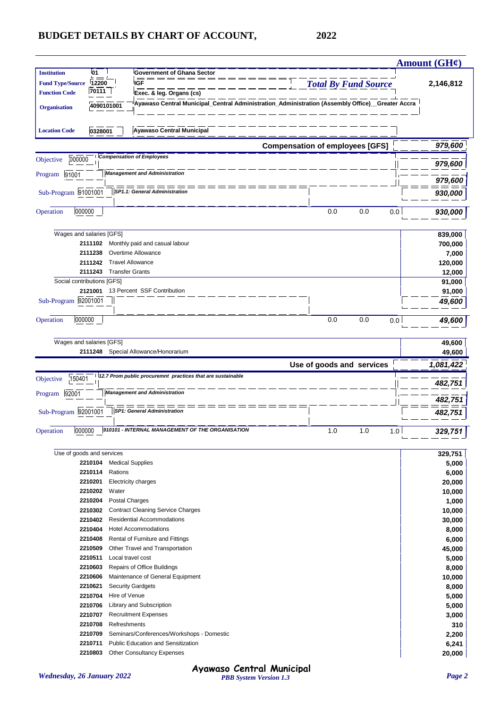|                         |                            |                                                            |                                                                                                  | Amount $(GH\ell)$  |
|-------------------------|----------------------------|------------------------------------------------------------|--------------------------------------------------------------------------------------------------|--------------------|
| <b>Institution</b>      | 01                         | <b>Government of Ghana Sector</b>                          |                                                                                                  |                    |
| <b>Fund Type/Source</b> | 12200                      | <b>IGF</b>                                                 | <b>Total By Fund Source</b>                                                                      | 2,146,812          |
| <b>Function Code</b>    | 70111                      | Exec. & leg. Organs (cs)                                   |                                                                                                  |                    |
| <b>Organisation</b>     | 4090101001                 |                                                            | Ayawaso Central Municipal_Central Administration_Administration (Assembly Office)__Greater Accra |                    |
| <b>Location Code</b>    | 0328001                    | <b>Ayawaso Central Municipal</b>                           |                                                                                                  |                    |
|                         |                            |                                                            | <b>Compensation of employees [GFS]</b>                                                           | 979,600            |
| 000000<br>Objective     |                            | <b>Compensation of Employees</b>                           |                                                                                                  | 979,600            |
| Program<br>91001        |                            | <b>Management and Administration</b>                       |                                                                                                  |                    |
|                         |                            | $=$ $=$ $=$                                                |                                                                                                  | 979,600            |
| Sub-Program 91001001    |                            | SP1.1: General Administration                              |                                                                                                  | 930,000            |
| 000000<br>Operation     |                            |                                                            | 0.0<br>0.0<br>0.0                                                                                | 930,000            |
|                         | Wages and salaries [GFS]   |                                                            |                                                                                                  | 839,000            |
|                         | 2111102                    | Monthly paid and casual labour                             |                                                                                                  | 700,000            |
|                         | 2111238                    | Overtime Allowance                                         |                                                                                                  | 7,000              |
|                         | 2111242                    | <b>Travel Allowance</b>                                    |                                                                                                  | 120,000            |
|                         | 2111243                    | <b>Transfer Grants</b>                                     |                                                                                                  | 12,000             |
|                         | Social contributions [GFS] |                                                            |                                                                                                  | 91,000             |
|                         | 2121001                    | 13 Percent SSF Contribution                                |                                                                                                  | 91,000             |
| Sub-Program 92001001    |                            |                                                            |                                                                                                  | 49,600             |
| Operation<br>000000     |                            |                                                            | 0.0<br>0.0<br>0.0                                                                                | 49,600             |
|                         |                            |                                                            |                                                                                                  |                    |
|                         | Wages and salaries [GFS]   | 2111248 Special Allowance/Honorarium                       |                                                                                                  | 49,600<br>49,600   |
|                         |                            |                                                            | Use of goods and services                                                                        | 1,081,422          |
| 150401<br>Objective     |                            | 12.7 Prom public procuremnt practices that are sustainable |                                                                                                  | 482,751            |
| 92001<br>Program        |                            | <b>Management and Administration</b>                       |                                                                                                  |                    |
| Sub-Program 92001001    |                            | <b>SP1: General Administration</b>                         |                                                                                                  | 482,751<br>482,751 |
|                         |                            |                                                            |                                                                                                  |                    |
| 000000<br>Operation     |                            | 910101 - INTERNAL MANAGEMENT OF THE ORGANISATION           | 1.0<br>1.0<br>1.0                                                                                | 329,751            |
|                         | Use of goods and services  |                                                            |                                                                                                  | 329,751            |
|                         | 2210104                    | <b>Medical Supplies</b>                                    |                                                                                                  | 5,000              |
|                         | Rations<br>2210114         |                                                            |                                                                                                  | 6,000              |
|                         | 2210201                    | <b>Electricity charges</b>                                 |                                                                                                  | 20,000             |
|                         | 2210202<br>Water           |                                                            |                                                                                                  | 10,000             |
|                         | 2210204                    | Postal Charges                                             |                                                                                                  | 1,000              |
|                         | 2210302                    | <b>Contract Cleaning Service Charges</b>                   |                                                                                                  | 10,000             |
|                         | 2210402                    | <b>Residential Accommodations</b>                          |                                                                                                  | 30,000             |
|                         | 2210404                    | <b>Hotel Accommodations</b>                                |                                                                                                  | 8,000              |
|                         | 2210408                    | Rental of Furniture and Fittings                           |                                                                                                  | 6,000              |
|                         | 2210509                    | Other Travel and Transportation                            |                                                                                                  | 45,000             |
|                         | 2210511                    | Local travel cost                                          |                                                                                                  | 5,000              |
|                         | 2210603                    | Repairs of Office Buildings                                |                                                                                                  | 8,000              |
|                         | 2210606                    | Maintenance of General Equipment                           |                                                                                                  | 10,000             |
|                         | 2210621                    | <b>Security Gardgets</b>                                   |                                                                                                  | 8,000              |
|                         |                            |                                                            |                                                                                                  |                    |
|                         | 2210704<br>Hire of Venue   |                                                            |                                                                                                  | 5,000              |
|                         | 2210706                    | Library and Subscription                                   |                                                                                                  | 5,000              |
|                         | 2210707                    | <b>Recruitment Expenses</b>                                |                                                                                                  | 3,000              |
|                         | 2210708                    | Refreshments                                               |                                                                                                  | 310                |
|                         | 2210709                    | Seminars/Conferences/Workshops - Domestic                  |                                                                                                  | 2,200              |
|                         | 2210711                    | Public Education and Sensitization                         |                                                                                                  | 6,241              |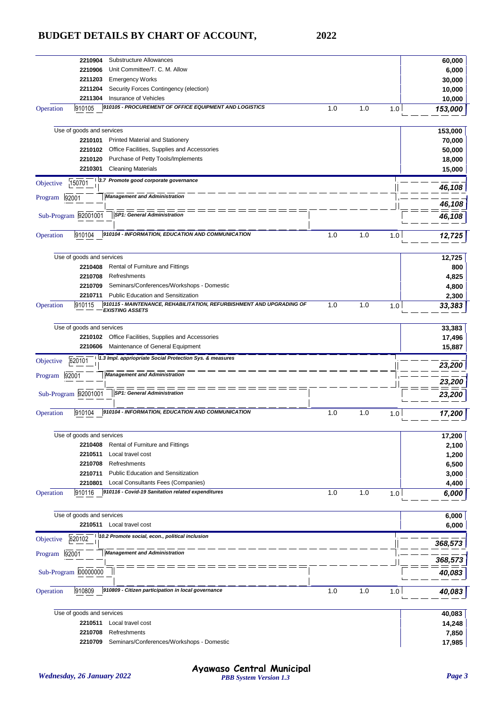| Substructure Allowances<br>2210904                                                                                    |     |     |     | 60,000         |
|-----------------------------------------------------------------------------------------------------------------------|-----|-----|-----|----------------|
| Unit Committee/T. C. M. Allow<br>2210906                                                                              |     |     |     | 6,000          |
| 2211203<br><b>Emergency Works</b>                                                                                     |     |     |     | 30,000         |
| 2211204<br>Security Forces Contingency (election)                                                                     |     |     |     | 10,000         |
| 2211304<br>Insurance of Vehicles                                                                                      |     |     |     | 10,000         |
| 910105<br>910105 - PROCUREMENT OF OFFICE EQUIPMENT AND LOGISTICS<br>Operation                                         | 1.0 | 1.0 | 1.0 | 153,000        |
|                                                                                                                       |     |     |     |                |
| Use of goods and services                                                                                             |     |     |     | 153,000        |
| 2210101<br><b>Printed Material and Stationery</b>                                                                     |     |     |     | 70,000         |
| Office Facilities, Supplies and Accessories<br>2210102                                                                |     |     |     | 50,000         |
| Purchase of Petty Tools/Implements<br>2210120                                                                         |     |     |     | 18,000         |
| 2210301<br><b>Cleaning Materials</b>                                                                                  |     |     |     |                |
|                                                                                                                       |     |     |     | 15,000         |
| 3.7 Promote good corporate governance<br>150701<br>Objective                                                          |     |     |     | 46,108         |
| <b>Management and Administration</b><br>92001<br>Program                                                              |     |     |     |                |
|                                                                                                                       |     |     |     | 46,108         |
| Sub-Program 92001001<br><b>SP1: General Administration</b>                                                            |     |     |     | 46,108         |
| 910104 - INFORMATION, EDUCATION AND COMMUNICATION<br>910104<br>Operation                                              | 1.0 | 1.0 | 1.0 | 12,725         |
|                                                                                                                       |     |     |     |                |
|                                                                                                                       |     |     |     |                |
| Use of goods and services                                                                                             |     |     |     | 12,725         |
| Rental of Furniture and Fittings<br>2210408                                                                           |     |     |     | 800            |
| 2210708<br>Refreshments                                                                                               |     |     |     | 4,825          |
| 2210709<br>Seminars/Conferences/Workshops - Domestic                                                                  |     |     |     | 4,800          |
| <b>Public Education and Sensitization</b><br>2210711                                                                  |     |     |     | 2,300          |
| 910115 - MAINTENANCE, REHABILITATION, REFURBISHMENT AND UPGRADING OF<br>910115<br>Operation<br><b>EXISTING ASSETS</b> | 1.0 | 1.0 | 1.0 | 33,383         |
|                                                                                                                       |     |     |     |                |
| Use of goods and services                                                                                             |     |     |     | 33,383         |
| Office Facilities, Supplies and Accessories<br>2210102                                                                |     |     |     | 17,496         |
| 2210606<br>Maintenance of General Equipment                                                                           |     |     |     | 15,887         |
| 1.3 Impl. appriopriate Social Protection Sys. & measures<br>620101<br>Objective                                       |     |     |     |                |
|                                                                                                                       |     |     |     | 23,200         |
| <b>Management and Administration</b><br>92001<br>Program                                                              |     |     |     | 23,200         |
| <b>SP1: General Administration</b>                                                                                    |     |     |     |                |
| Sub-Program 92001001                                                                                                  |     |     |     | 23,200         |
| 910104 - INFORMATION, EDUCATION AND COMMUNICATION<br>910104<br>Operation                                              | 1.0 | 1.0 | 1.0 | 17,200         |
|                                                                                                                       |     |     |     |                |
| Use of goods and services                                                                                             |     |     |     | 17,200         |
| 2210408<br>Rental of Furniture and Fittings                                                                           |     |     |     | 2,100          |
| 2210511<br>Local travel cost                                                                                          |     |     |     | 1,200          |
| 2210708<br>Refreshments                                                                                               |     |     |     | 6,500          |
| 2210711<br><b>Public Education and Sensitization</b>                                                                  |     |     |     | 3,000          |
| 2210801<br>Local Consultants Fees (Companies)                                                                         |     |     |     |                |
| 910116 - Covid-19 Sanitation related expenditures<br>910116<br>Operation                                              | 1.0 | 1.0 | 1.0 | 4,400<br>6,000 |
|                                                                                                                       |     |     |     |                |
| Use of goods and services                                                                                             |     |     |     | 6,000          |
| 2210511<br>Local travel cost                                                                                          |     |     |     | 6,000          |
| 10.2 Promote social, econ., political inclusion<br>620102<br>Objective                                                |     |     |     |                |
|                                                                                                                       |     |     |     | 368,573        |
| <b>Management and Administration</b><br>92001<br>Program                                                              |     |     |     | 368,573        |
|                                                                                                                       |     |     |     |                |
| Sub-Program 00000000                                                                                                  |     |     |     | 40,083         |
| 910809 - Citizen participation in local governance<br>Operation<br>910809                                             | 1.0 | 1.0 | 1.0 | 40,083         |
|                                                                                                                       |     |     |     |                |
| Use of goods and services                                                                                             |     |     |     | 40,083         |
| 2210511<br>Local travel cost                                                                                          |     |     |     |                |
| Refreshments                                                                                                          |     |     |     | 14,248         |
| 2210708                                                                                                               |     |     |     | 7,850          |
| 2210709<br>Seminars/Conferences/Workshops - Domestic                                                                  |     |     |     | 17,985         |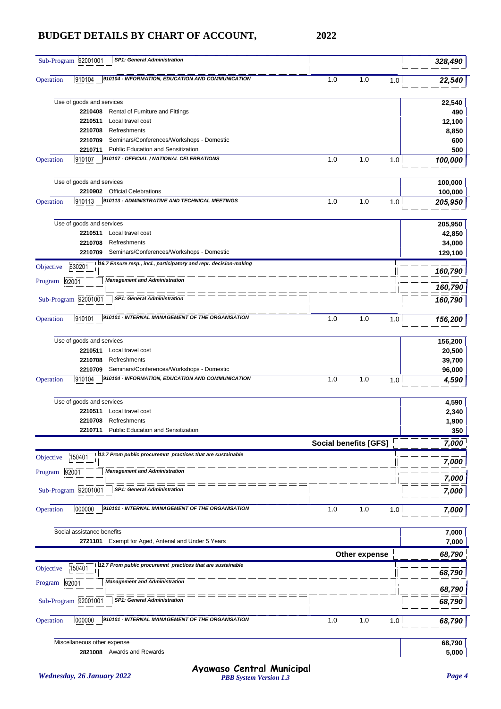|               | Sub-Program 92001001        | <b>SP1: General Administration</b>                                |                              |               |     | 328,490         |
|---------------|-----------------------------|-------------------------------------------------------------------|------------------------------|---------------|-----|-----------------|
| Operation     | 910104                      | 910104 - INFORMATION, EDUCATION AND COMMUNICATION                 | 1.0                          | 1.0           | 1.0 | 22,540          |
|               | Use of goods and services   |                                                                   |                              |               |     | 22,540          |
|               | 2210408                     | Rental of Furniture and Fittings                                  |                              |               |     | 490             |
|               | 2210511                     | Local travel cost                                                 |                              |               |     | 12,100          |
|               | 2210708                     | Refreshments                                                      |                              |               |     | 8,850           |
|               | 2210709                     | Seminars/Conferences/Workshops - Domestic                         |                              |               |     | 600             |
|               | 2210711                     | <b>Public Education and Sensitization</b>                         |                              |               |     | 500             |
| Operation     | 910107                      | 910107 - OFFICIAL / NATIONAL CELEBRATIONS                         | 1.0                          | 1.0           | 1.0 | 100,000         |
|               | Use of goods and services   |                                                                   |                              |               |     | 100,000         |
|               | 2210902                     | <b>Official Celebrations</b>                                      |                              |               |     | 100,000         |
| Operation     | 910113                      | 910113 - ADMINISTRATIVE AND TECHNICAL MEETINGS                    | 1.0                          | 1.0           | 1.0 | 205,950         |
|               | Use of goods and services   |                                                                   |                              |               |     | 205,950         |
|               | 2210511                     | Local travel cost                                                 |                              |               |     | 42,850          |
|               | 2210708                     | Refreshments                                                      |                              |               |     | 34,000          |
|               | 2210709                     | Seminars/Conferences/Workshops - Domestic                         |                              |               |     | 129,100         |
| Objective     | 630201                      | 16.7 Ensure resp., incl., participatory and repr. decision-making |                              |               |     |                 |
| Program       | 92001                       | <b>Management and Administration</b>                              |                              |               |     | 160,790         |
|               |                             |                                                                   |                              |               |     | 160,790         |
|               | Sub-Program 92001001        | $=$ $=$ $=$ $=$<br><b>SP1: General Administration</b>             |                              |               |     | 160,790         |
| Operation     | 910101                      | 910101 - INTERNAL MANAGEMENT OF THE ORGANISATION                  | 1.0                          | 1.0           | 1.0 | 156,200         |
|               | Use of goods and services   |                                                                   |                              |               |     | 156,200         |
|               | 2210511                     | Local travel cost                                                 |                              |               |     | 20,500          |
|               | 2210708                     | Refreshments                                                      |                              |               |     | 39,700          |
|               | 2210709                     | Seminars/Conferences/Workshops - Domestic                         |                              |               |     | 96,000          |
| Operation     | 910104                      | 910104 - INFORMATION, EDUCATION AND COMMUNICATION                 | 1.0                          | 1.0           | 1.0 | 4,590           |
|               | Use of goods and services   |                                                                   |                              |               |     | 4,590           |
|               | 2210511                     | Local travel cost                                                 |                              |               |     | 2,340           |
|               | 2210708                     | Refreshments                                                      |                              |               |     | 1,900           |
|               | 2210711                     | Public Education and Sensitization                                |                              |               |     | 350             |
|               |                             |                                                                   | <b>Social benefits [GFS]</b> |               |     | 7,000           |
| Objective     | 150401                      | 12.7 Prom public procuremnt practices that are sustainable        |                              |               |     | 7,000           |
| Program       | 92001                       | <b>Management and Administration</b>                              |                              |               |     |                 |
|               | Sub-Program 92001001        | <b>SP1: General Administration</b>                                |                              |               |     | 7,000<br>7,000  |
|               |                             |                                                                   |                              |               |     |                 |
| Operation     | 000000                      | 910101 - INTERNAL MANAGEMENT OF THE ORGANISATION                  | 1.0                          | 1.0           | 1.0 | 7,000           |
|               | Social assistance benefits  |                                                                   |                              |               |     | 7,000           |
|               | 2721101                     | Exempt for Aged, Antenal and Under 5 Years                        |                              |               |     | 7,000           |
|               |                             |                                                                   |                              | Other expense |     | 68,790          |
| Objective     | 150401                      | 12.7 Prom public procuremnt practices that are sustainable        |                              |               |     | 68,790          |
| Program 92001 |                             | <b>Management and Administration</b>                              |                              |               |     | 68,790          |
|               | Sub-Program 92001001        | <b>SP1: General Administration</b>                                |                              |               |     | 68,790          |
| Operation     | 000000                      | 910101 - INTERNAL MANAGEMENT OF THE ORGANISATION                  | 1.0                          | 1.0           | 1.0 | 68,790          |
|               |                             |                                                                   |                              |               |     |                 |
|               | Miscellaneous other expense | 2821008 Awards and Rewards                                        |                              |               |     | 68,790<br>5,000 |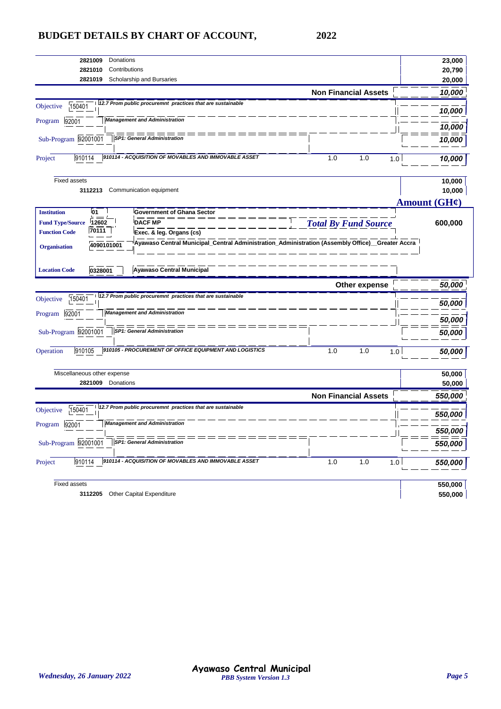| 2821010<br>Contributions                                                                                                              |                             | 23,000             |
|---------------------------------------------------------------------------------------------------------------------------------------|-----------------------------|--------------------|
| 2821019<br>Scholarship and Bursaries                                                                                                  |                             | 20,790<br>20,000   |
|                                                                                                                                       | <b>Non Financial Assets</b> | 10,000             |
| 12.7 Prom public procuremnt practices that are sustainable<br>150401<br>Objective                                                     |                             |                    |
|                                                                                                                                       |                             | 10,000             |
| <b>Management and Administration</b><br>92001<br>Program                                                                              |                             | 10,000             |
| <b>SP1: General Administration</b><br>Sub-Program 92001001                                                                            |                             | 10,000             |
|                                                                                                                                       |                             |                    |
| 910114 - ACQUISITION OF MOVABLES AND IMMOVABLE ASSET<br>910114<br>Project                                                             | 1.0<br>1.0<br>1.0           | 10,000             |
| <b>Fixed assets</b>                                                                                                                   |                             | 10,000             |
| Communication equipment<br>3112213                                                                                                    |                             | 10,000             |
|                                                                                                                                       |                             | Amount $(GH\ell)$  |
| 01<br><b>Institution</b><br><b>Government of Ghana Sector</b>                                                                         |                             |                    |
| 12602<br><b>DACF MP</b><br><b>Fund Type/Source</b>                                                                                    | <b>Total By Fund Source</b> | 600,000            |
| 70111<br><b>Function Code</b><br>Exec. & leg. Organs (cs)                                                                             |                             |                    |
| Ayawaso Central Municipal_Central Administration_Administration (Assembly Office)__Greater Accra<br>4090101001<br><b>Organisation</b> |                             |                    |
| <b>Ayawaso Central Municipal</b><br><b>Location Code</b><br>0328001                                                                   |                             |                    |
|                                                                                                                                       |                             |                    |
|                                                                                                                                       | Other expense               | 50,000             |
| 12.7 Prom public procuremnt practices that are sustainable<br>150401<br>Objective                                                     |                             | 50,000             |
| <b>Management and Administration</b><br>92001<br>Program                                                                              |                             |                    |
|                                                                                                                                       |                             | 50,000             |
| Sub-Program 92001001<br><b>SP1: General Administration</b>                                                                            |                             | 50,000             |
| 910105 - PROCUREMENT OF OFFICE EQUIPMENT AND LOGISTICS<br>910105<br>Operation                                                         | 1.0<br>1.0<br>1.0           | 50,000             |
| Miscellaneous other expense                                                                                                           |                             | 50,000             |
| 2821009<br>Donations                                                                                                                  |                             | 50,000             |
|                                                                                                                                       | <b>Non Financial Assets</b> | 550,000            |
| 12.7 Prom public procuremnt practices that are sustainable<br>150401<br>Objective                                                     |                             | 550,000            |
| <b>Management and Administration</b><br>92001<br>Program                                                                              |                             |                    |
| Sub-Program 92001001<br><b>SP1: General Administration</b>                                                                            |                             | 550,000<br>550,000 |
| 910114 - ACQUISITION OF MOVABLES AND IMMOVABLE ASSET<br>910114<br>Project                                                             | 1.0<br>1.0<br>1.0           | 550,000            |
| <b>Fixed assets</b>                                                                                                                   |                             | 550,000            |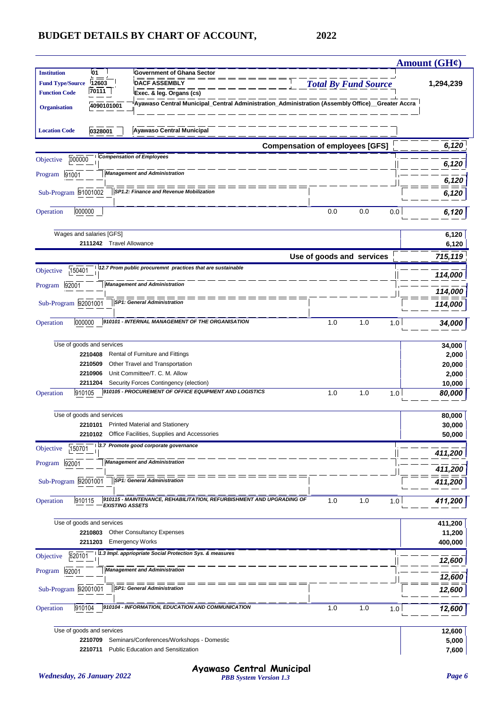|                                               |                                    |                                                                                                 |                             |     |     | Amount $(GH\mathcal{C})$ |
|-----------------------------------------------|------------------------------------|-------------------------------------------------------------------------------------------------|-----------------------------|-----|-----|--------------------------|
| <b>Institution</b><br><b>Fund Type/Source</b> | 01<br>12603                        | <b>Government of Ghana Sector</b><br><b>DACF ASSEMBLY</b>                                       | <b>Total By Fund Source</b> |     |     | 1,294,239                |
| <b>Function Code</b>                          | 70111                              | Exec. & leg. Organs (cs)                                                                        |                             |     |     |                          |
| <b>Organisation</b>                           | 4090101001                         | Ayawaso Central Municipal_Central Administration_Administration (Assembly Office)_Greater Accra |                             |     |     |                          |
| <b>Location Code</b>                          | 0328001                            | <b>Ayawaso Central Municipal</b>                                                                |                             |     |     |                          |
|                                               |                                    | <b>Compensation of employees [GFS]</b>                                                          |                             |     |     | 6,120                    |
| 000000<br>Objective                           |                                    | <b>Compensation of Employees</b>                                                                |                             |     |     | 6,120                    |
| 91001<br>Program                              |                                    | <b>Management and Administration</b>                                                            |                             |     |     | 6,120                    |
| Sub-Program 91001002                          |                                    | SP1.2: Finance and Revenue Mobilization                                                         |                             |     |     | 6,120                    |
| 000000<br>Operation                           |                                    |                                                                                                 | 0.0                         | 0.0 | 0.0 | 6,120                    |
|                                               | Wages and salaries [GFS]           |                                                                                                 |                             |     |     | 6,120                    |
|                                               | 2111242<br><b>Travel Allowance</b> |                                                                                                 |                             |     |     | 6,120                    |
|                                               |                                    |                                                                                                 | Use of goods and services   |     |     | 715,119                  |
| 150401<br>Objective                           |                                    | 12.7 Prom public procuremnt practices that are sustainable                                      |                             |     |     | 114,000                  |
| 92001<br>Program                              |                                    | <b>Management and Administration</b>                                                            |                             |     |     | 114,000                  |
| Sub-Program 92001001                          |                                    | <b>SP1: General Administration</b>                                                              |                             |     |     | 114,000                  |
| Operation<br>000000                           |                                    | 910101 - INTERNAL MANAGEMENT OF THE ORGANISATION                                                | 1.0                         | 1.0 | 1.0 | 34,000                   |
|                                               |                                    |                                                                                                 |                             |     |     |                          |
|                                               | Use of goods and services          |                                                                                                 |                             |     |     | 34,000                   |
|                                               | 2210408<br>2210509                 | Rental of Furniture and Fittings<br>Other Travel and Transportation                             |                             |     |     | 2,000                    |
|                                               | 2210906                            | Unit Committee/T. C. M. Allow                                                                   |                             |     |     | 20,000<br>2,000          |
|                                               | 2211204                            | Security Forces Contingency (election)                                                          |                             |     |     | 10,000                   |
| 910105<br>Operation                           |                                    | 910105 - PROCUREMENT OF OFFICE EQUIPMENT AND LOGISTICS                                          | 1.0                         | 1.0 | 1.0 | 80,000                   |
|                                               | Use of goods and services          |                                                                                                 |                             |     |     | 80,000                   |
|                                               | 2210101                            | <b>Printed Material and Stationery</b>                                                          |                             |     |     | 30,000                   |
|                                               |                                    | 2210102 Office Facilities. Supplies and Accessories                                             |                             |     |     | 50,000                   |
| 150701<br>Objective                           |                                    | 3.7 Promote good corporate governance                                                           |                             |     |     | 411,200                  |
| 92001<br>Program                              |                                    | <b>Management and Administration</b>                                                            |                             |     |     | 411,200                  |
| Sub-Program 92001001                          |                                    | <b>SP1: General Administration</b>                                                              |                             |     |     | 411,200                  |
| 910115<br>Operation                           | <b>EXISTING ASSETS</b>             | 910115 - MAINTENANCE, REHABILITATION, REFURBISHMENT AND UPGRADING OF                            | 1.0                         | 1.0 | 1.0 | 411,200                  |
|                                               | Use of goods and services          |                                                                                                 |                             |     |     | 411,200                  |
|                                               | 2210803                            | <b>Other Consultancy Expenses</b>                                                               |                             |     |     | 11,200                   |
|                                               | 2211203                            | <b>Emergency Works</b>                                                                          |                             |     |     | 400,000                  |
| 620101<br>Objective                           |                                    | 1.3 Impl. appriopriate Social Protection Sys. & measures                                        |                             |     |     |                          |
| 92001<br>Program                              |                                    | <b>Management and Administration</b>                                                            |                             |     |     | 12,600                   |
|                                               |                                    |                                                                                                 |                             |     |     | 12,600                   |
| Sub-Program 92001001                          |                                    | <b>SP1: General Administration</b>                                                              |                             |     |     | 12,600                   |
| 910104<br>Operation                           |                                    | 910104 - INFORMATION, EDUCATION AND COMMUNICATION                                               | 1.0                         | 1.0 | 1.0 | 12,600                   |
|                                               | Use of goods and services          |                                                                                                 |                             |     |     | 12,600                   |
|                                               | 2210709                            | Seminars/Conferences/Workshops - Domestic                                                       |                             |     |     | 5,000                    |
|                                               | 2210711                            | Public Education and Sensitization                                                              |                             |     |     | 7,600                    |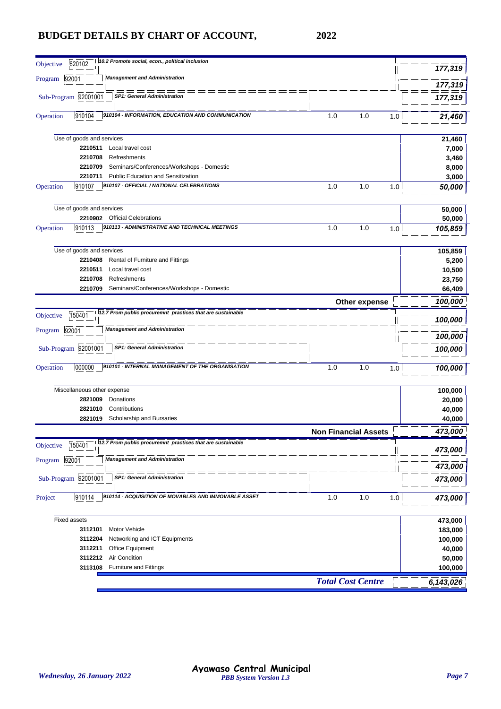| 10.2 Promote social, econ., political inclusion<br>620102<br>Objective            |                             | 177,319   |
|-----------------------------------------------------------------------------------|-----------------------------|-----------|
| <b>Management and Administration</b><br>92001<br>Program                          |                             |           |
|                                                                                   |                             | 177,319   |
| Sub-Program 92001001<br><b>SP1: General Administration</b>                        |                             | 177,319   |
| 910104<br>910104 - INFORMATION, EDUCATION AND COMMUNICATION<br>Operation          | 1.0<br>1.0<br>1.0           | 21,460    |
|                                                                                   |                             |           |
| Use of goods and services                                                         |                             | 21,460    |
| 2210511<br>Local travel cost                                                      |                             | 7,000     |
| Refreshments<br>2210708                                                           |                             | 3,460     |
| Seminars/Conferences/Workshops - Domestic<br>2210709                              |                             | 8,000     |
| <b>Public Education and Sensitization</b><br>2210711                              |                             | 3,000     |
| 910107 - OFFICIAL / NATIONAL CELEBRATIONS<br>910107<br>Operation                  | 1.0<br>1.0<br>1.0           | 50,000    |
|                                                                                   |                             |           |
| Use of goods and services                                                         |                             | 50,000    |
| 2210902 Official Celebrations                                                     |                             | 50,000    |
| 910113 - ADMINISTRATIVE AND TECHNICAL MEETINGS<br>910113<br>Operation             | 1.0<br>1.0<br>1.0           | 105,859   |
|                                                                                   |                             |           |
| Use of goods and services                                                         |                             | 105,859   |
| 2210408<br>Rental of Furniture and Fittings                                       |                             | 5,200     |
| Local travel cost<br>2210511                                                      |                             | 10,500    |
| 2210708<br>Refreshments                                                           |                             | 23,750    |
| Seminars/Conferences/Workshops - Domestic<br>2210709                              |                             | 66,409    |
|                                                                                   | Other expense               | 100,000   |
| 12.7 Prom public procuremnt practices that are sustainable                        |                             |           |
| 150401<br>Objective                                                               |                             | 100,000   |
| <b>Management and Administration</b><br>92001<br>Program                          |                             |           |
|                                                                                   |                             | 100,000   |
| Sub-Program 92001001<br><b>SP1: General Administration</b>                        |                             | 100,000   |
|                                                                                   |                             |           |
| 910101 - INTERNAL MANAGEMENT OF THE ORGANISATION<br>Operation<br>000000           | 1.0<br>1.0<br>1.0           | 100,000   |
|                                                                                   |                             |           |
| Miscellaneous other expense                                                       |                             | 100,000   |
| 2821009<br>Donations                                                              |                             | 20,000    |
| Contributions<br>2821010                                                          |                             | 40,000    |
| Scholarship and Bursaries<br>2821019                                              |                             | 40,000    |
|                                                                                   | <b>Non Financial Assets</b> | 473,000   |
| 12.7 Prom public procuremnt practices that are sustainable<br>150401<br>Objective |                             |           |
|                                                                                   |                             | 473,000   |
| 92001<br><b>Management and Administration</b><br>Program                          |                             | 473,000   |
| = == == == ==                                                                     |                             |           |
| Sub-Program 92001001<br><b>SP1: General Administration</b>                        |                             | 473,000   |
| 910114 - ACQUISITION OF MOVABLES AND IMMOVABLE ASSET                              |                             |           |
| 910114<br>Project                                                                 | 1.0<br>1.0<br>1.0           | 473,000   |
|                                                                                   |                             |           |
| <b>Fixed assets</b>                                                               |                             | 473,000   |
| Motor Vehicle<br>3112101                                                          |                             | 183,000   |
| Networking and ICT Equipments<br>3112204                                          |                             | 100,000   |
| 3112211<br>Office Equipment                                                       |                             | 40,000    |
| Air Condition<br>3112212                                                          |                             | 50,000    |
| 3113108<br><b>Furniture and Fittings</b>                                          |                             | 100,000   |
|                                                                                   | <b>Total Cost Centre</b>    | 6,143,026 |
|                                                                                   |                             |           |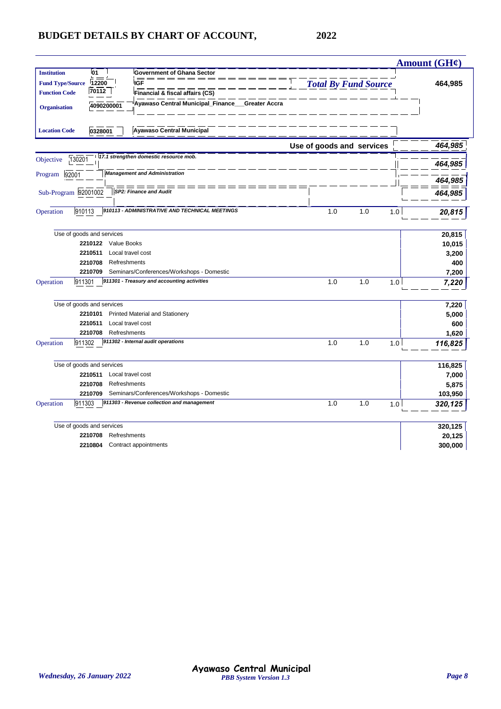|                         |                           |                                                            |                             |            | Amount $(GH\ell)$ |
|-------------------------|---------------------------|------------------------------------------------------------|-----------------------------|------------|-------------------|
| <b>Institution</b>      | 01                        | <b>Government of Ghana Sector</b>                          |                             |            |                   |
| <b>Fund Type/Source</b> | 12200                     | <b>IGF</b>                                                 | <b>Total By Fund Source</b> |            | 464,985           |
| <b>Function Code</b>    | 70112                     | Financial & fiscal affairs (CS)                            |                             |            |                   |
| <b>Organisation</b>     | 4090200001                | Ayawaso Central Municipal_Finance_<br><b>Greater Accra</b> |                             |            |                   |
| <b>Location Code</b>    | 0328001                   | <b>Ayawaso Central Municipal</b>                           |                             |            |                   |
|                         |                           |                                                            | Use of goods and services   |            | 464,985           |
| Objective               | 130201                    | 17.1 strengthen domestic resource mob.                     |                             |            | 464,985           |
| Program                 | 92001                     | <b>Management and Administration</b>                       |                             |            | 464,985           |
|                         | Sub-Program 92001002      | <b>SP2: Finance and Audit</b>                              |                             |            | 464,985           |
| Operation               | 910113                    | 910113 - ADMINISTRATIVE AND TECHNICAL MEETINGS             | 1.0                         | 1.0<br>1.0 | 20,815            |
|                         | Use of goods and services |                                                            |                             |            | 20,815            |
|                         | 2210122 Value Books       |                                                            |                             |            | 10,015            |
|                         | 2210511                   | Local travel cost                                          |                             |            | 3,200             |
|                         | 2210708                   | Refreshments                                               |                             |            | 400               |
|                         | 2210709                   | Seminars/Conferences/Workshops - Domestic                  |                             |            | 7,200             |
| Operation               | 911301                    | 911301 - Treasury and accounting activities                | 1.0                         | 1.0<br>1.0 | 7,220             |
|                         | Use of goods and services |                                                            |                             |            | 7,220             |
|                         | 2210101                   | <b>Printed Material and Stationery</b>                     |                             |            | 5,000             |
|                         | 2210511                   | Local travel cost                                          |                             |            | 600               |
|                         | 2210708                   | Refreshments                                               |                             |            | 1,620             |
| Operation               | 911302                    | 911302 - Internal audit operations                         | 1.0                         | 1.0<br>1.0 | 116,825           |
|                         | Use of goods and services |                                                            |                             |            | 116,825           |
|                         | 2210511                   | Local travel cost                                          |                             |            | 7,000             |
|                         | 2210708                   | Refreshments                                               |                             |            | 5,875             |
|                         | 2210709                   | Seminars/Conferences/Workshops - Domestic                  |                             |            | 103,950           |
| Operation               | 911303                    | 911303 - Revenue collection and management                 | 1.0                         | 1.0<br>1.0 | 320,125           |
|                         | Use of goods and services |                                                            |                             |            | 320,125           |
|                         | 2210708                   | Refreshments                                               |                             |            | 20,125            |
|                         | 2210804                   | Contract appointments                                      |                             |            | 300,000           |
|                         |                           |                                                            |                             |            |                   |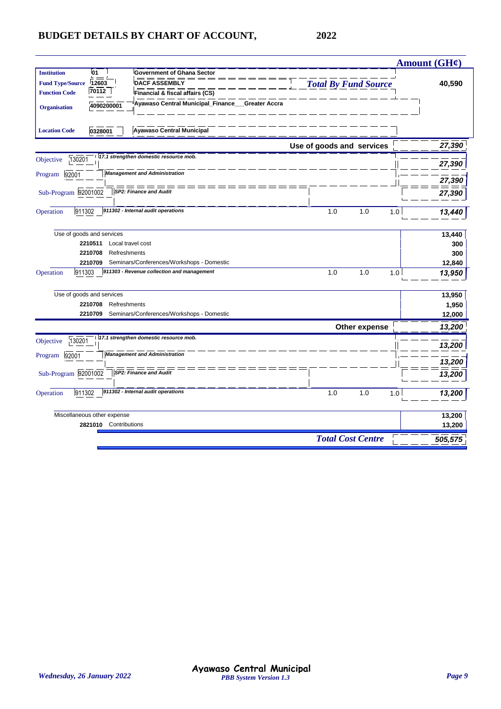|                                                                                         | Amount $(GH\mathcal{C})$ |
|-----------------------------------------------------------------------------------------|--------------------------|
| <b>Institution</b><br>01<br><b>Government of Ghana Sector</b>                           |                          |
| <b>Total By Fund Source</b><br>12603<br><b>DACF ASSEMBLY</b><br><b>Fund Type/Source</b> | 40,590                   |
| 70112<br><b>Function Code</b><br>Financial & fiscal affairs (CS)                        |                          |
| Ayawaso Central Municipal_Finance__Greater Accra<br>4090200001<br><b>Organisation</b>   |                          |
| <b>Ayawaso Central Municipal</b><br><b>Location Code</b><br>0328001                     |                          |
| Use of goods and services                                                               | 27,390                   |
| 117.1 strengthen domestic resource mob.<br>130201<br>Objective                          | 27,390                   |
| <b>Management and Administration</b><br>92001<br>Program                                | 27,390                   |
| Sub-Program 92001002<br><b>SP2: Finance and Audit</b>                                   | 27,390                   |
| 911302 - Internal audit operations<br>Operation<br>911302<br>1.0<br>1.0<br>1.0          | 13,440                   |
| Use of goods and services                                                               | 13,440                   |
| 2210511<br>Local travel cost                                                            | 300                      |
| 2210708<br>Refreshments                                                                 | 300                      |
| 2210709<br>Seminars/Conferences/Workshops - Domestic                                    | 12,840                   |
| 911303<br>911303 - Revenue collection and management<br>1.0<br>1.0<br>Operation<br>1.0  | 13,950                   |
| Use of goods and services                                                               | 13,950                   |
| Refreshments<br>2210708                                                                 | 1,950                    |
| Seminars/Conferences/Workshops - Domestic<br>2210709                                    | 12,000                   |
| Other expense                                                                           | 13,200                   |
| 17.1 strengthen domestic resource mob.<br>130201<br>Objective                           | 13,200                   |
| <b>Management and Administration</b><br>Program<br>92001                                | 13,200                   |
| Sub-Program 92001002<br><b>SP2: Finance and Audit</b>                                   | 13,200                   |
| 911302 - Internal audit operations<br>911302<br>1.0<br>1.0<br>Operation<br>1.0          | 13,200                   |
| Miscellaneous other expense                                                             | 13,200                   |
| 2821010<br>Contributions                                                                | 13,200                   |
| <b>Total Cost Centre</b>                                                                | 505,575                  |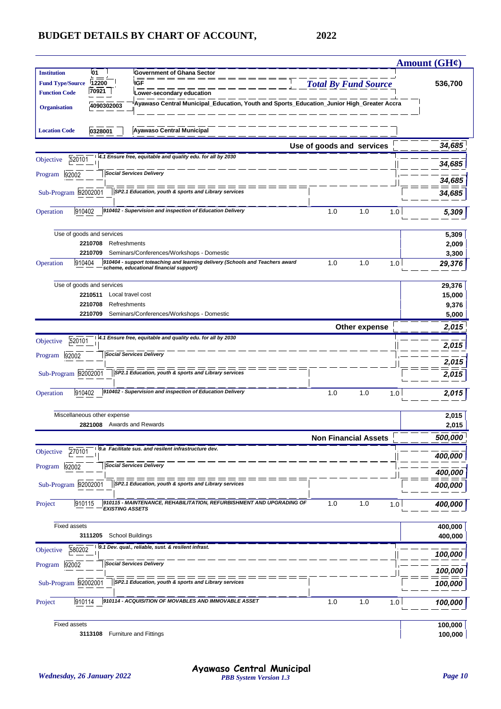|                         |                             |                                                                                                                         |                             | Amount $(GH\ell)$ |
|-------------------------|-----------------------------|-------------------------------------------------------------------------------------------------------------------------|-----------------------------|-------------------|
| <b>Institution</b>      | 01                          | <b>Government of Ghana Sector</b>                                                                                       |                             |                   |
| <b>Fund Type/Source</b> | 12200                       | <b>IGF</b>                                                                                                              | <b>Total By Fund Source</b> | 536,700           |
| <b>Function Code</b>    | 70921                       | Lower-secondary education                                                                                               |                             |                   |
| <b>Organisation</b>     | 4090302003                  | Ayawaso Central Municipal_Education, Youth and Sports_Education_Junior High_Greater Accra                               |                             |                   |
|                         |                             |                                                                                                                         |                             |                   |
| <b>Location Code</b>    | 0328001                     | <b>Ayawaso Central Municipal</b>                                                                                        |                             |                   |
|                         |                             |                                                                                                                         | Use of goods and services   | 34,685            |
| 520101<br>Objective     |                             | 4.1 Ensure free, equitable and quality edu. for all by 2030                                                             |                             | 34,685            |
| 92002<br>Program        |                             | <b>Social Services Delivery</b>                                                                                         |                             |                   |
|                         |                             | ===<br>SP2.1 Education, youth & sports and Library services                                                             |                             | 34,685            |
| Sub-Program 92002001    |                             |                                                                                                                         |                             | 34,685            |
| 910402<br>Operation     |                             | 910402 - Supervision and inspection of Education Delivery                                                               | 1.0<br>1.0<br>1.0           | 5,309             |
|                         |                             |                                                                                                                         |                             |                   |
|                         | Use of goods and services   |                                                                                                                         |                             | 5,309             |
|                         | 2210708<br>Refreshments     |                                                                                                                         |                             | 2,009             |
|                         | 2210709                     | Seminars/Conferences/Workshops - Domestic                                                                               |                             | 3,300             |
| 910404<br>Operation     |                             | 910404 - support toteaching and learning delivery (Schools and Teachers award<br>scheme, educational financial support) | 1.0<br>1.0<br>1.0           | 29,376            |
|                         | Use of goods and services   |                                                                                                                         |                             | 29,376            |
|                         | 2210511                     | Local travel cost                                                                                                       |                             | 15,000            |
|                         | 2210708<br>Refreshments     |                                                                                                                         |                             | 9,376             |
|                         | 2210709                     | Seminars/Conferences/Workshops - Domestic                                                                               |                             | 5,000             |
|                         |                             |                                                                                                                         | Other expense               | 2,015             |
| 520101<br>Objective     |                             | 4.1 Ensure free, equitable and quality edu. for all by 2030                                                             |                             |                   |
| Program<br>92002        |                             | <b>Social Services Delivery</b>                                                                                         |                             | 2,015             |
|                         |                             |                                                                                                                         |                             | 2,015             |
| Sub-Program 92002001    |                             | SP2.1 Education, youth & sports and Library services                                                                    |                             | 2,015             |
| 910402<br>Operation     |                             | 910402 - Supervision and inspection of Education Delivery                                                               | 1.0<br>1.0<br>1.0           | 2,015             |
|                         |                             |                                                                                                                         |                             |                   |
|                         | Miscellaneous other expense |                                                                                                                         |                             | 2,015             |
|                         | 2821008                     | Awards and Rewards                                                                                                      |                             | 2,015             |
|                         |                             |                                                                                                                         | <b>Non Financial Assets</b> | 500,000           |
| 270101<br>Objective     |                             | 9.a Facilitate sus. and resilent infrastructure dev.                                                                    |                             | 400,000           |
| 92002<br>Program        |                             | <b>Social Services Delivery</b>                                                                                         |                             |                   |
|                         |                             | SP2.1 Education, youth & sports and Library services                                                                    |                             | 400,000           |
| Sub-Program 92002001    |                             |                                                                                                                         |                             | 400,000           |
| 910115<br>Project       | <b>EXISTING ASSETS</b>      | 910115 - MAINTENANCE, REHABILITATION, REFURBISHMENT AND UPGRADING OF                                                    | 1.0<br>1.0<br>1.0           | 400,000           |
|                         |                             |                                                                                                                         |                             |                   |
| Fixed assets            |                             |                                                                                                                         |                             | 400,000           |
|                         | 3111205                     | <b>School Buildings</b><br>9.1 Dev. qual., reliable, sust. & resilent infrast.                                          |                             | 400,000           |
| 580202<br>Objective     |                             |                                                                                                                         |                             | 100,000           |
| 92002<br>Program        |                             | <b>Social Services Delivery</b>                                                                                         |                             | 100,000           |
| Sub-Program 92002001    |                             | SP2.1 Education, youth & sports and Library services                                                                    |                             | 100,000           |
|                         |                             |                                                                                                                         |                             |                   |
| 910114<br>Project       |                             | 910114 - ACQUISITION OF MOVABLES AND IMMOVABLE ASSET                                                                    | 1.0<br>1.0<br>1.0           | 100,000           |
| <b>Fixed assets</b>     |                             |                                                                                                                         |                             | 100,000           |
|                         | 3113108                     | <b>Furniture and Fittings</b>                                                                                           |                             | 100,000           |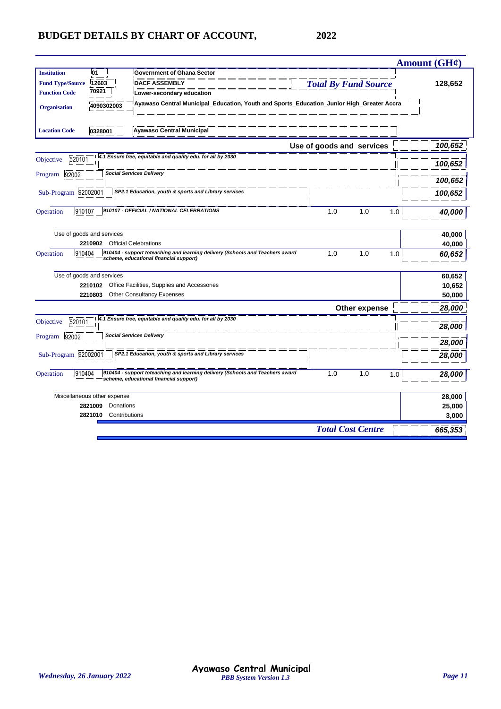|                                   |                                                                                                                         |                             | Amount $(GH\mathcal{C})$ |
|-----------------------------------|-------------------------------------------------------------------------------------------------------------------------|-----------------------------|--------------------------|
| 01<br><b>Institution</b>          | <b>Government of Ghana Sector</b>                                                                                       |                             |                          |
| <b>Fund Type/Source</b><br>12603  | <b>DACF ASSEMBLY</b>                                                                                                    | <b>Total By Fund Source</b> | 128,652                  |
| 70921<br><b>Function Code</b>     | Lower-secondary education                                                                                               |                             |                          |
| 4090302003<br><b>Organisation</b> | Ayawaso Central Municipal_Education, Youth and Sports_Education_Junior High_Greater Accra                               |                             |                          |
| <b>Location Code</b><br>0328001   | <b>Ayawaso Central Municipal</b>                                                                                        |                             |                          |
|                                   |                                                                                                                         | Use of goods and services   | 100,652                  |
| 520101<br>Objective               | 4.1 Ensure free, equitable and quality edu. for all by 2030                                                             |                             | 100,652                  |
| 92002<br>Program                  | <b>Social Services Delivery</b>                                                                                         |                             |                          |
|                                   | = = = = =<br>$=$ $=$ $=$                                                                                                |                             | 100,652                  |
| Sub-Program 92002001              | SP2.1 Education, youth & sports and Library services                                                                    |                             | 100,652                  |
| 910107<br>Operation               | 910107 - OFFICIAL / NATIONAL CELEBRATIONS                                                                               | 1.0<br>1.0<br>1.0           | 40.000                   |
| Use of goods and services         |                                                                                                                         |                             | 40,000                   |
| 2210902 Official Celebrations     |                                                                                                                         |                             | 40,000                   |
| 910404<br>Operation               | 910404 - support toteaching and learning delivery (Schools and Teachers award<br>scheme, educational financial support) | 1.0<br>1.0<br>1.0           | 60,652                   |
| Use of goods and services         |                                                                                                                         |                             | 60,652                   |
| 2210102                           | Office Facilities, Supplies and Accessories                                                                             |                             | 10,652                   |
| 2210803                           | <b>Other Consultancy Expenses</b>                                                                                       |                             | 50,000                   |
|                                   |                                                                                                                         | Other expense               | 28,000                   |
| 520101<br>Objective               | 4.1 Ensure free, equitable and quality edu. for all by 2030                                                             |                             | 28,000                   |
| 92002<br>Program                  | <b>Social Services Delivery</b>                                                                                         |                             | 28,000                   |
| Sub-Program 92002001              | SP2.1 Education, youth & sports and Library services                                                                    |                             | 28,000                   |
| 910404<br>Operation               | 910404 - support toteaching and learning delivery (Schools and Teachers award<br>scheme, educational financial support) | 1.0<br>1.0<br>1.0           | 28,000                   |
| Miscellaneous other expense       |                                                                                                                         |                             | 28,000                   |
| 2821009<br>Donations              |                                                                                                                         |                             | 25,000                   |
| 2821010 Contributions             |                                                                                                                         |                             | 3,000                    |
|                                   |                                                                                                                         | <b>Total Cost Centre</b>    | 665,353                  |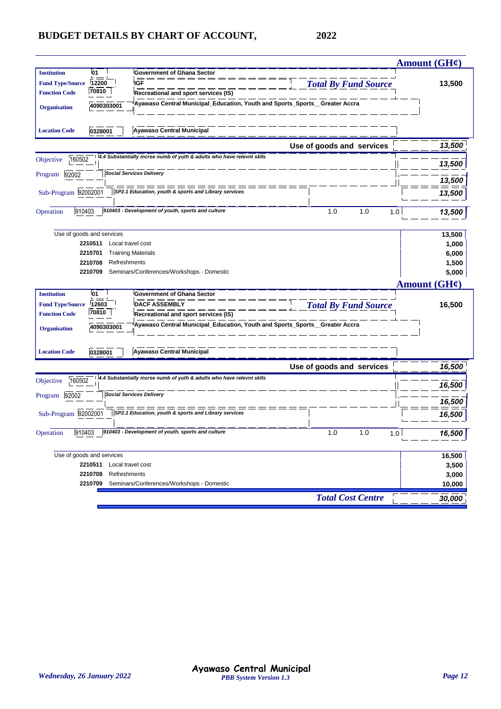|                         |                           |                                                                            |                              | Amount (GH¢)             |
|-------------------------|---------------------------|----------------------------------------------------------------------------|------------------------------|--------------------------|
| <b>Institution</b>      | 01                        | <b>Government of Ghana Sector</b>                                          |                              |                          |
| <b>Fund Type/Source</b> | 12200                     | <b>IGF</b>                                                                 | <b>Total By Fund Source</b>  | 13,500                   |
| <b>Function Code</b>    | 70810                     | Recreational and sport services (IS)                                       |                              |                          |
| <b>Organisation</b>     | 4090303001                | Ayawaso Central Municipal_Education, Youth and Sports_Sports_Greater Accra |                              |                          |
| <b>Location Code</b>    | 0328001                   | <b>Ayawaso Central Municipal</b>                                           |                              |                          |
|                         |                           |                                                                            | Use of goods and services    | 13,500                   |
| 160502<br>Objective     |                           | 4.4 Substantially incrse numb of yuth & adults who have relevnt skils      |                              | 13,500                   |
| 92002<br>Program        |                           | <b>Social Services Delivery</b>                                            |                              | 13,500                   |
| Sub-Program 92002001    |                           | SP2.1 Education, youth & sports and Library services                       |                              | 13,500                   |
| Operation               | 910403                    | 910403 - Development of youth, sports and culture                          | 1.0<br>1.0<br>1.0            | 13,500                   |
|                         | Use of goods and services |                                                                            |                              | 13,500                   |
|                         | 2210511                   | Local travel cost                                                          |                              | 1,000                    |
|                         | 2210701                   | <b>Training Materials</b>                                                  |                              | 6,000                    |
|                         | 2210708                   | Refreshments                                                               |                              | 1,500                    |
|                         | 2210709                   | Seminars/Conferences/Workshops - Domestic                                  |                              | 5,000                    |
|                         |                           |                                                                            |                              | Amount $(GH\mathcal{C})$ |
| <b>Institution</b>      | 01                        | <b>Government of Ghana Sector</b>                                          |                              |                          |
| <b>Fund Type/Source</b> | 12603                     | <b>DACF ASSEMBLY</b>                                                       | <b>Total By Fund Source</b>  | 16,500                   |
| <b>Function Code</b>    | 70810                     | Recreational and sport services (IS)                                       |                              |                          |
| <b>Organisation</b>     | 4090303001                | Ayawaso Central Municipal_Education, Youth and Sports_Sports_Greater Accra |                              |                          |
|                         |                           |                                                                            |                              |                          |
| <b>Location Code</b>    | 0328001                   | <b>Ayawaso Central Municipal</b>                                           |                              |                          |
|                         |                           | 4.4 Substantially incrse numb of yuth & adults who have relevnt sklls      | Use of goods and services    | 16,500                   |
| 160502<br>Objective     |                           |                                                                            |                              | 16,500                   |
| 92002<br>Program        |                           | <b>Social Services Delivery</b>                                            |                              | 16,500                   |
| Sub-Program 92002001    |                           | SP2.1 Education, youth & sports and Library services                       |                              | 16,500                   |
| 910403<br>Operation     |                           | 910403 - Development of youth, sports and culture                          | 1.0<br>1.0<br>1 <sub>0</sub> | 16,500                   |
|                         | Use of goods and services |                                                                            |                              | 16,500                   |
|                         | 2210511 Local travel cost |                                                                            |                              | 3,500                    |
|                         | 2210708                   | Refreshments                                                               |                              | 3,000                    |
|                         |                           | 2210709 Seminars/Conferences/Workshops - Domestic                          |                              | 10,000                   |
|                         |                           |                                                                            | <b>Total Cost Centre</b>     |                          |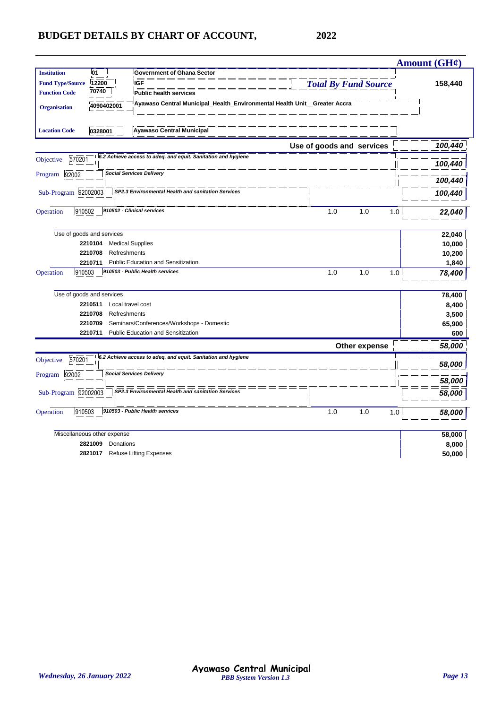| 01<br><b>Institution</b><br><b>Government of Ghana Sector</b><br><b>Total By Fund Source</b><br><b>Fund Type/Source</b><br>12200<br><b>IGF</b><br>158,440<br>70740<br><b>Function Code</b><br><b>Public health services</b><br>Ayawaso Central Municipal_Health_Environmental Health Unit__Greater Accra<br>4090402001<br><b>Organisation</b><br><b>Ayawaso Central Municipal</b><br><b>Location Code</b><br>0328001<br>100,440<br>Use of goods and services<br>6.2 Achieve access to adeq. and equit. Sanitation and hygiene<br>570201<br>Objective<br>100,440<br><b>Social Services Delivery</b><br>Program<br>92002<br>100,440<br>= = = = = = = =<br>Sub-Program 92002003<br>SP2.3 Environmental Health and sanitation Services<br>100,440<br>910502 - Clinical services<br>910502<br>1.0<br>1.0<br>Operation<br>1.0<br>22,040<br>Use of goods and services<br>22,040<br>2210104<br><b>Medical Supplies</b><br>10,000<br>2210708<br>Refreshments<br>10,200<br><b>Public Education and Sensitization</b><br>1,840<br>2210711<br>910503 - Public Health services<br>910503<br>1.0<br>1.0<br>1.0<br>78,400<br>Use of goods and services<br>78,400<br>Local travel cost<br>8,400<br>2210511<br>Refreshments<br>3,500<br>2210708<br>2210709<br>Seminars/Conferences/Workshops - Domestic<br>65,900<br><b>Public Education and Sensitization</b><br>2210711<br>600<br>58,000<br>Other expense<br>6.2 Achieve access to adeq. and equit. Sanitation and hygiene<br>570201<br>Objective<br>58,000<br><b>Social Services Delivery</b><br>92002<br>Program<br>58,000<br>Sub-Program 92002003<br>SP2.3 Environmental Health and sanitation Services<br>58,000<br>910503 - Public Health services<br>1.0<br>910503<br>1.0<br>1.0<br>58,000<br>Miscellaneous other expense<br>58,000<br>8,000<br>2821009<br>Donations<br><b>Refuse Lifting Expenses</b><br>2821017 |           |  | Amount $(GH\mathcal{C})$ |
|----------------------------------------------------------------------------------------------------------------------------------------------------------------------------------------------------------------------------------------------------------------------------------------------------------------------------------------------------------------------------------------------------------------------------------------------------------------------------------------------------------------------------------------------------------------------------------------------------------------------------------------------------------------------------------------------------------------------------------------------------------------------------------------------------------------------------------------------------------------------------------------------------------------------------------------------------------------------------------------------------------------------------------------------------------------------------------------------------------------------------------------------------------------------------------------------------------------------------------------------------------------------------------------------------------------------------------------------------------------------------------------------------------------------------------------------------------------------------------------------------------------------------------------------------------------------------------------------------------------------------------------------------------------------------------------------------------------------------------------------------------------------------------------------------------------------------------------------------------|-----------|--|--------------------------|
|                                                                                                                                                                                                                                                                                                                                                                                                                                                                                                                                                                                                                                                                                                                                                                                                                                                                                                                                                                                                                                                                                                                                                                                                                                                                                                                                                                                                                                                                                                                                                                                                                                                                                                                                                                                                                                                          |           |  |                          |
|                                                                                                                                                                                                                                                                                                                                                                                                                                                                                                                                                                                                                                                                                                                                                                                                                                                                                                                                                                                                                                                                                                                                                                                                                                                                                                                                                                                                                                                                                                                                                                                                                                                                                                                                                                                                                                                          |           |  |                          |
|                                                                                                                                                                                                                                                                                                                                                                                                                                                                                                                                                                                                                                                                                                                                                                                                                                                                                                                                                                                                                                                                                                                                                                                                                                                                                                                                                                                                                                                                                                                                                                                                                                                                                                                                                                                                                                                          |           |  |                          |
|                                                                                                                                                                                                                                                                                                                                                                                                                                                                                                                                                                                                                                                                                                                                                                                                                                                                                                                                                                                                                                                                                                                                                                                                                                                                                                                                                                                                                                                                                                                                                                                                                                                                                                                                                                                                                                                          |           |  |                          |
|                                                                                                                                                                                                                                                                                                                                                                                                                                                                                                                                                                                                                                                                                                                                                                                                                                                                                                                                                                                                                                                                                                                                                                                                                                                                                                                                                                                                                                                                                                                                                                                                                                                                                                                                                                                                                                                          |           |  |                          |
|                                                                                                                                                                                                                                                                                                                                                                                                                                                                                                                                                                                                                                                                                                                                                                                                                                                                                                                                                                                                                                                                                                                                                                                                                                                                                                                                                                                                                                                                                                                                                                                                                                                                                                                                                                                                                                                          |           |  |                          |
|                                                                                                                                                                                                                                                                                                                                                                                                                                                                                                                                                                                                                                                                                                                                                                                                                                                                                                                                                                                                                                                                                                                                                                                                                                                                                                                                                                                                                                                                                                                                                                                                                                                                                                                                                                                                                                                          |           |  |                          |
|                                                                                                                                                                                                                                                                                                                                                                                                                                                                                                                                                                                                                                                                                                                                                                                                                                                                                                                                                                                                                                                                                                                                                                                                                                                                                                                                                                                                                                                                                                                                                                                                                                                                                                                                                                                                                                                          |           |  |                          |
|                                                                                                                                                                                                                                                                                                                                                                                                                                                                                                                                                                                                                                                                                                                                                                                                                                                                                                                                                                                                                                                                                                                                                                                                                                                                                                                                                                                                                                                                                                                                                                                                                                                                                                                                                                                                                                                          |           |  |                          |
|                                                                                                                                                                                                                                                                                                                                                                                                                                                                                                                                                                                                                                                                                                                                                                                                                                                                                                                                                                                                                                                                                                                                                                                                                                                                                                                                                                                                                                                                                                                                                                                                                                                                                                                                                                                                                                                          |           |  |                          |
|                                                                                                                                                                                                                                                                                                                                                                                                                                                                                                                                                                                                                                                                                                                                                                                                                                                                                                                                                                                                                                                                                                                                                                                                                                                                                                                                                                                                                                                                                                                                                                                                                                                                                                                                                                                                                                                          |           |  |                          |
|                                                                                                                                                                                                                                                                                                                                                                                                                                                                                                                                                                                                                                                                                                                                                                                                                                                                                                                                                                                                                                                                                                                                                                                                                                                                                                                                                                                                                                                                                                                                                                                                                                                                                                                                                                                                                                                          |           |  |                          |
|                                                                                                                                                                                                                                                                                                                                                                                                                                                                                                                                                                                                                                                                                                                                                                                                                                                                                                                                                                                                                                                                                                                                                                                                                                                                                                                                                                                                                                                                                                                                                                                                                                                                                                                                                                                                                                                          |           |  |                          |
|                                                                                                                                                                                                                                                                                                                                                                                                                                                                                                                                                                                                                                                                                                                                                                                                                                                                                                                                                                                                                                                                                                                                                                                                                                                                                                                                                                                                                                                                                                                                                                                                                                                                                                                                                                                                                                                          |           |  |                          |
|                                                                                                                                                                                                                                                                                                                                                                                                                                                                                                                                                                                                                                                                                                                                                                                                                                                                                                                                                                                                                                                                                                                                                                                                                                                                                                                                                                                                                                                                                                                                                                                                                                                                                                                                                                                                                                                          | Operation |  |                          |
|                                                                                                                                                                                                                                                                                                                                                                                                                                                                                                                                                                                                                                                                                                                                                                                                                                                                                                                                                                                                                                                                                                                                                                                                                                                                                                                                                                                                                                                                                                                                                                                                                                                                                                                                                                                                                                                          |           |  |                          |
|                                                                                                                                                                                                                                                                                                                                                                                                                                                                                                                                                                                                                                                                                                                                                                                                                                                                                                                                                                                                                                                                                                                                                                                                                                                                                                                                                                                                                                                                                                                                                                                                                                                                                                                                                                                                                                                          |           |  |                          |
|                                                                                                                                                                                                                                                                                                                                                                                                                                                                                                                                                                                                                                                                                                                                                                                                                                                                                                                                                                                                                                                                                                                                                                                                                                                                                                                                                                                                                                                                                                                                                                                                                                                                                                                                                                                                                                                          |           |  |                          |
|                                                                                                                                                                                                                                                                                                                                                                                                                                                                                                                                                                                                                                                                                                                                                                                                                                                                                                                                                                                                                                                                                                                                                                                                                                                                                                                                                                                                                                                                                                                                                                                                                                                                                                                                                                                                                                                          |           |  |                          |
|                                                                                                                                                                                                                                                                                                                                                                                                                                                                                                                                                                                                                                                                                                                                                                                                                                                                                                                                                                                                                                                                                                                                                                                                                                                                                                                                                                                                                                                                                                                                                                                                                                                                                                                                                                                                                                                          |           |  |                          |
|                                                                                                                                                                                                                                                                                                                                                                                                                                                                                                                                                                                                                                                                                                                                                                                                                                                                                                                                                                                                                                                                                                                                                                                                                                                                                                                                                                                                                                                                                                                                                                                                                                                                                                                                                                                                                                                          |           |  |                          |
|                                                                                                                                                                                                                                                                                                                                                                                                                                                                                                                                                                                                                                                                                                                                                                                                                                                                                                                                                                                                                                                                                                                                                                                                                                                                                                                                                                                                                                                                                                                                                                                                                                                                                                                                                                                                                                                          |           |  |                          |
|                                                                                                                                                                                                                                                                                                                                                                                                                                                                                                                                                                                                                                                                                                                                                                                                                                                                                                                                                                                                                                                                                                                                                                                                                                                                                                                                                                                                                                                                                                                                                                                                                                                                                                                                                                                                                                                          |           |  |                          |
|                                                                                                                                                                                                                                                                                                                                                                                                                                                                                                                                                                                                                                                                                                                                                                                                                                                                                                                                                                                                                                                                                                                                                                                                                                                                                                                                                                                                                                                                                                                                                                                                                                                                                                                                                                                                                                                          |           |  |                          |
|                                                                                                                                                                                                                                                                                                                                                                                                                                                                                                                                                                                                                                                                                                                                                                                                                                                                                                                                                                                                                                                                                                                                                                                                                                                                                                                                                                                                                                                                                                                                                                                                                                                                                                                                                                                                                                                          |           |  |                          |
|                                                                                                                                                                                                                                                                                                                                                                                                                                                                                                                                                                                                                                                                                                                                                                                                                                                                                                                                                                                                                                                                                                                                                                                                                                                                                                                                                                                                                                                                                                                                                                                                                                                                                                                                                                                                                                                          | Operation |  |                          |
|                                                                                                                                                                                                                                                                                                                                                                                                                                                                                                                                                                                                                                                                                                                                                                                                                                                                                                                                                                                                                                                                                                                                                                                                                                                                                                                                                                                                                                                                                                                                                                                                                                                                                                                                                                                                                                                          |           |  |                          |
|                                                                                                                                                                                                                                                                                                                                                                                                                                                                                                                                                                                                                                                                                                                                                                                                                                                                                                                                                                                                                                                                                                                                                                                                                                                                                                                                                                                                                                                                                                                                                                                                                                                                                                                                                                                                                                                          |           |  |                          |
|                                                                                                                                                                                                                                                                                                                                                                                                                                                                                                                                                                                                                                                                                                                                                                                                                                                                                                                                                                                                                                                                                                                                                                                                                                                                                                                                                                                                                                                                                                                                                                                                                                                                                                                                                                                                                                                          |           |  | 50,000                   |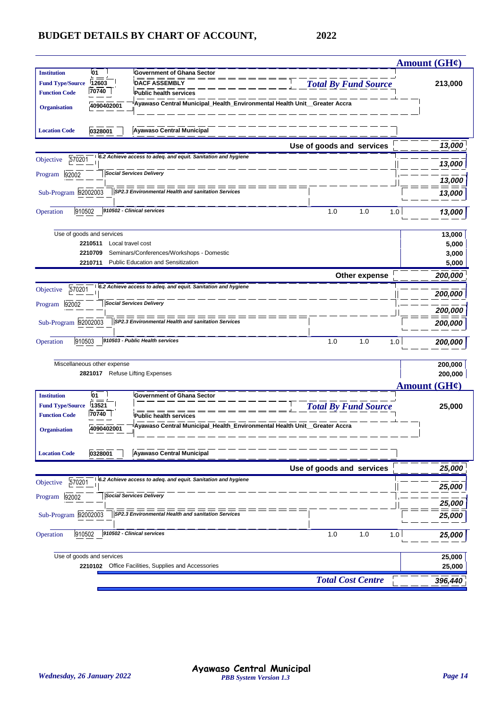|                                      |                                                                           |                             | Amount $(GH\mathcal{C})$ |
|--------------------------------------|---------------------------------------------------------------------------|-----------------------------|--------------------------|
| <b>01</b><br><b>Institution</b>      | <b>Government of Ghana Sector</b>                                         |                             |                          |
| <b>Fund Type/Source</b><br>12603     | <b>DACF ASSEMBLY</b>                                                      | <b>Total By Fund Source</b> | 213,000                  |
| 70740<br><b>Function Code</b>        | <b>Public health services</b>                                             |                             |                          |
| 4090402001<br><b>Organisation</b>    | Ayawaso Central Municipal_Health_Environmental Health Unit__Greater Accra |                             |                          |
| <b>Location Code</b><br>0328001      | <b>Ayawaso Central Municipal</b>                                          |                             |                          |
|                                      |                                                                           | Use of goods and services   | 13,000                   |
| 570201<br>Objective                  | 6.2 Achieve access to adeq. and equit. Sanitation and hygiene             |                             | 13,000                   |
| 92002<br>Program                     | <b>Social Services Delivery</b>                                           |                             | 13,000                   |
| Sub-Program 92002003                 | SP2.3 Environmental Health and sanitation Services                        |                             | 13,000                   |
| 910502<br>Operation                  | 910502 - Clinical services                                                | 1.0<br>1.0<br>1.0           | 13,000                   |
|                                      |                                                                           |                             |                          |
| Use of goods and services<br>2210511 | Local travel cost                                                         |                             | 13,000<br>5,000          |
| 2210709                              | Seminars/Conferences/Workshops - Domestic                                 |                             | 3,000                    |
| 2210711                              | <b>Public Education and Sensitization</b>                                 |                             | 5,000                    |
|                                      |                                                                           | Other expense               | 200,000                  |
| 570201<br>Objective                  | 6.2 Achieve access to adeq. and equit. Sanitation and hygiene             |                             |                          |
| 92002<br>Program                     | <b>Social Services Delivery</b>                                           |                             | 200,000                  |
|                                      |                                                                           |                             | 200,000                  |
| Sub-Program 92002003                 | SP2.3 Environmental Health and sanitation Services                        |                             | 200,000                  |
| 910503<br>Operation                  | 910503 - Public Health services                                           | 1.0<br>1.0<br>1.0           | 200,000                  |
| Miscellaneous other expense          |                                                                           |                             | 200,000                  |
|                                      | 2821017 Refuse Lifting Expenses                                           |                             | 200,000                  |
|                                      |                                                                           |                             | Amount $(GH\ell)$        |
| 01<br><b>Institution</b>             | <b>Government of Ghana Sector</b>                                         |                             |                          |
| 13521<br><b>Fund Type/Source</b>     |                                                                           | <b>Total By Fund Source</b> | 25,000                   |
| 70740<br><b>Function Code</b>        | <b>Public health services</b>                                             |                             |                          |
| 4090402001<br><b>Organisation</b>    | Ayawaso Central Municipal_Health_Environmental Health Unit_Greater Accra  |                             |                          |
| 0328001<br><b>Location Code</b>      | <b>Ayawaso Central Municipal</b>                                          |                             |                          |
|                                      |                                                                           | Use of goods and services   | 25,000                   |
| 570201<br>Objective                  | 6.2 Achieve access to adeq. and equit. Sanitation and hygiene             |                             | 25,000                   |
| 92002<br>Program                     | <b>Social Services Delivery</b>                                           |                             | 25,000                   |
| Sub-Program 92002003                 | SP2.3 Environmental Health and sanitation Services                        |                             | 25,000                   |
| 910502<br>Operation                  | 910502 - Clinical services                                                | 1.0<br>1.0<br>1.0           | 25,000                   |
|                                      |                                                                           |                             |                          |
| Use of goods and services            |                                                                           |                             | 25,000                   |
|                                      | 2210102 Office Facilities, Supplies and Accessories                       |                             | 25,000                   |
|                                      |                                                                           | <b>Total Cost Centre</b>    | 396,440                  |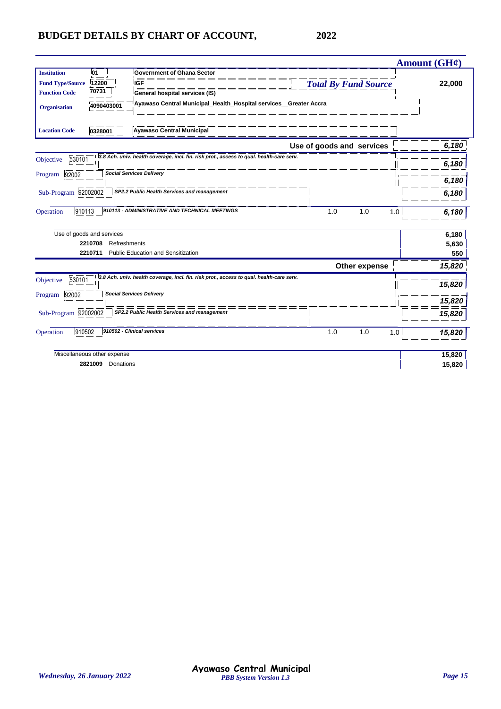|                         |                             |                                                                                          | <b>Amount (GH¢)</b> |
|-------------------------|-----------------------------|------------------------------------------------------------------------------------------|---------------------|
| <b>Institution</b>      | <b>01</b>                   | <b>Government of Ghana Sector</b>                                                        |                     |
| <b>Fund Type/Source</b> | 12200                       | <b>Total By Fund Source</b><br><b>IGF</b>                                                | 22,000              |
| <b>Function Code</b>    | 70731                       | General hospital services (IS)                                                           |                     |
| <b>Organisation</b>     | 4090403001                  | Ayawaso Central Municipal_Health_Hospital services_Greater Accra                         |                     |
| <b>Location Code</b>    | 0328001                     | <b>Ayawaso Central Municipal</b>                                                         |                     |
|                         |                             | Use of goods and services                                                                | 6,180               |
| 530101<br>Objective     |                             | 3.8 Ach. univ. health coverage, incl. fin. risk prot., access to qual. health-care serv. |                     |
|                         |                             |                                                                                          | 6,180               |
| 92002<br>Program        |                             | <b>Social Services Delivery</b>                                                          | 6,180               |
| Sub-Program 92002002    |                             | SP2.2 Public Health Services and management                                              | 6,180               |
| 910113<br>Operation     |                             | 910113 - ADMINISTRATIVE AND TECHNICAL MEETINGS<br>1.0<br>1.0                             | 1.0<br>6,180        |
|                         | Use of goods and services   |                                                                                          | 6,180               |
|                         | Refreshments<br>2210708     |                                                                                          | 5,630               |
|                         | 2210711                     | <b>Public Education and Sensitization</b>                                                | 550                 |
|                         |                             | Other expense                                                                            | 15,820              |
| 530101<br>Objective     |                             | 3.8 Ach. univ. health coverage, incl. fin. risk prot., access to qual. health-care serv. | 15,820              |
| 92002<br>Program        |                             | <b>Social Services Delivery</b>                                                          | 15,820              |
| Sub-Program 92002002    |                             | SP2.2 Public Health Services and management                                              | 15,820              |
|                         |                             |                                                                                          |                     |
| 910502<br>Operation     |                             | 910502 - Clinical services<br>1.0<br>1.0                                                 | 1.0<br>15,820       |
|                         | Miscellaneous other expense |                                                                                          | 15,820              |
|                         | Donations<br>2821009        |                                                                                          | 15,820              |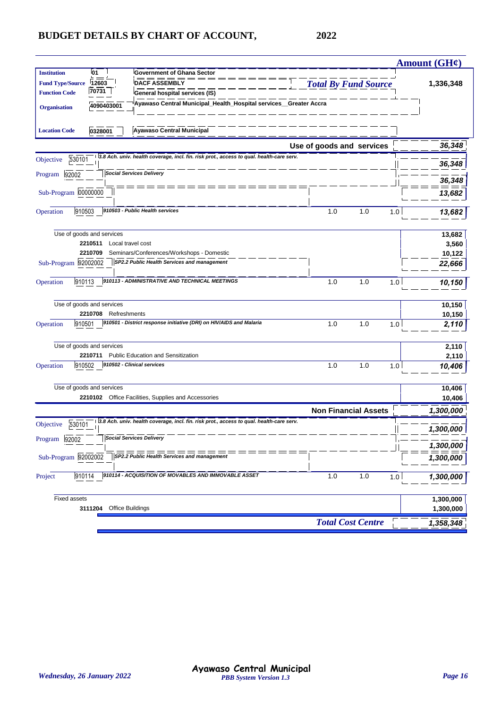| <b>Institution</b><br>01<br><b>Government of Ghana Sector</b><br><b>Total By Fund Source</b><br><b>DACF ASSEMBLY</b><br><b>Fund Type/Source</b><br>12603<br>1,336,348<br>70731<br><b>Function Code</b><br>General hospital services (IS)<br>Ayawaso Central Municipal_Health_Hospital services_Greater Accra<br>4090403001<br><b>Organisation</b><br><b>Ayawaso Central Municipal</b><br><b>Location Code</b><br>0328001<br>Use of goods and services<br>3.8 Ach. univ. health coverage, incl. fin. risk prot., access to qual. health-care serv.<br>530101<br>Objective<br><b>Social Services Delivery</b><br>92002<br>Program |        |
|---------------------------------------------------------------------------------------------------------------------------------------------------------------------------------------------------------------------------------------------------------------------------------------------------------------------------------------------------------------------------------------------------------------------------------------------------------------------------------------------------------------------------------------------------------------------------------------------------------------------------------|--------|
|                                                                                                                                                                                                                                                                                                                                                                                                                                                                                                                                                                                                                                 |        |
|                                                                                                                                                                                                                                                                                                                                                                                                                                                                                                                                                                                                                                 |        |
|                                                                                                                                                                                                                                                                                                                                                                                                                                                                                                                                                                                                                                 |        |
|                                                                                                                                                                                                                                                                                                                                                                                                                                                                                                                                                                                                                                 | 36,348 |
|                                                                                                                                                                                                                                                                                                                                                                                                                                                                                                                                                                                                                                 | 36,348 |
|                                                                                                                                                                                                                                                                                                                                                                                                                                                                                                                                                                                                                                 | 36,348 |
| = == == == == =<br>Sub-Program 00000000                                                                                                                                                                                                                                                                                                                                                                                                                                                                                                                                                                                         | 13,682 |
|                                                                                                                                                                                                                                                                                                                                                                                                                                                                                                                                                                                                                                 |        |
| 910503 - Public Health services<br>910503<br>1.0<br>1.0<br>Operation<br>1.0                                                                                                                                                                                                                                                                                                                                                                                                                                                                                                                                                     | 13,682 |
| Use of goods and services                                                                                                                                                                                                                                                                                                                                                                                                                                                                                                                                                                                                       | 13,682 |
| 2210511<br>Local travel cost                                                                                                                                                                                                                                                                                                                                                                                                                                                                                                                                                                                                    | 3,560  |
| 2210709<br>Seminars/Conferences/Workshops - Domestic                                                                                                                                                                                                                                                                                                                                                                                                                                                                                                                                                                            | 10,122 |
| Sub-Program 92002002<br>SP2.2 Public Health Services and management                                                                                                                                                                                                                                                                                                                                                                                                                                                                                                                                                             | 22,666 |
| 910113 - ADMINISTRATIVE AND TECHNICAL MEETINGS<br>1.0<br>1.0<br>910113<br>Operation<br>1.0                                                                                                                                                                                                                                                                                                                                                                                                                                                                                                                                      | 10,150 |
| Use of goods and services                                                                                                                                                                                                                                                                                                                                                                                                                                                                                                                                                                                                       | 10,150 |
| 2210708<br>Refreshments                                                                                                                                                                                                                                                                                                                                                                                                                                                                                                                                                                                                         | 10,150 |
| 910501 - District response initiative (DRI) on HIV/AIDS and Malaria<br>1.0<br>910501<br>1.0<br>Operation<br>1.0                                                                                                                                                                                                                                                                                                                                                                                                                                                                                                                 | 2,110  |
| Use of goods and services                                                                                                                                                                                                                                                                                                                                                                                                                                                                                                                                                                                                       | 2,110  |
| <b>Public Education and Sensitization</b><br>2210711                                                                                                                                                                                                                                                                                                                                                                                                                                                                                                                                                                            | 2,110  |
| 910502 - Clinical services<br>1.0<br>Operation<br>910502<br>1.0<br>1.0                                                                                                                                                                                                                                                                                                                                                                                                                                                                                                                                                          | 10,406 |
| Use of goods and services                                                                                                                                                                                                                                                                                                                                                                                                                                                                                                                                                                                                       | 10,406 |
| 2210102 Office Facilities, Supplies and Accessories                                                                                                                                                                                                                                                                                                                                                                                                                                                                                                                                                                             | 10,406 |
| <b>Non Financial Assets</b><br>1,300,000                                                                                                                                                                                                                                                                                                                                                                                                                                                                                                                                                                                        |        |
| 3.8 Ach. univ. health coverage, incl. fin. risk prot., access to qual. health-care serv.<br>530101<br>Objective<br>1,300,000                                                                                                                                                                                                                                                                                                                                                                                                                                                                                                    |        |
| <b>Social Services Delivery</b><br>Program<br>92002<br>1,300,000                                                                                                                                                                                                                                                                                                                                                                                                                                                                                                                                                                |        |
| Sub-Program 92002002<br>SP2.2 Public Health Services and management<br>1,300,000                                                                                                                                                                                                                                                                                                                                                                                                                                                                                                                                                |        |
| 910114 - ACQUISITION OF MOVABLES AND IMMOVABLE ASSET<br>910114<br>1.0<br>1.0<br>Project<br>1.0<br>1,300,000                                                                                                                                                                                                                                                                                                                                                                                                                                                                                                                     |        |
| <b>Fixed assets</b><br>1,300,000                                                                                                                                                                                                                                                                                                                                                                                                                                                                                                                                                                                                |        |
| 3111204<br>Office Buildings<br>1,300,000                                                                                                                                                                                                                                                                                                                                                                                                                                                                                                                                                                                        |        |
| <b>Total Cost Centre</b><br>1,358,348                                                                                                                                                                                                                                                                                                                                                                                                                                                                                                                                                                                           |        |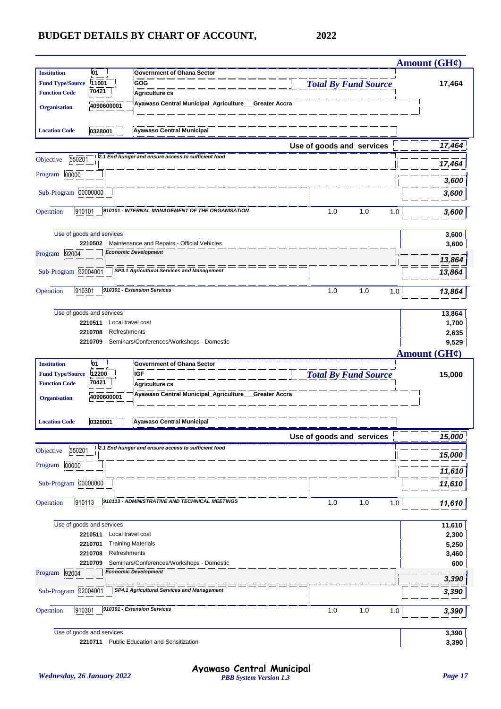|                                               |                                      |                                                                            |                             | Amount $(GH\mathcal{C})$ |
|-----------------------------------------------|--------------------------------------|----------------------------------------------------------------------------|-----------------------------|--------------------------|
| <b>Institution</b><br><b>Fund Type/Source</b> | 01<br>11001                          | <b>Government of Ghana Sector</b><br>GOG                                   | <b>Total By Fund Source</b> | 17,464                   |
| <b>Function Code</b>                          | 70421                                | Agriculture cs                                                             |                             |                          |
| <b>Organisation</b>                           | 4090600001                           | Ayawaso Central Municipal_Agriculture_<br>Greater Accra                    |                             |                          |
| <b>Location Code</b>                          | 0328001                              | <b>Ayawaso Central Municipal</b>                                           |                             |                          |
|                                               |                                      |                                                                            | Use of goods and services   | 17,464                   |
| 550201<br>Objective                           |                                      | 2.1 End hunger and ensure access to sufficient food                        |                             | 17,464                   |
| 00000<br>Program                              |                                      |                                                                            |                             | 3,600                    |
| Sub-Program 00000000                          |                                      |                                                                            |                             | 3,600                    |
| 910101<br>Operation                           |                                      | 910101 - INTERNAL MANAGEMENT OF THE ORGANISATION                           | 1.0<br>1.0<br>1.0           | 3,600                    |
|                                               | Use of goods and services            |                                                                            |                             | 3,600                    |
|                                               | 2210502                              | Maintenance and Repairs - Official Vehicles<br><b>Economic Development</b> |                             | 3,600                    |
| Program 92004                                 |                                      |                                                                            |                             | 13,864                   |
| Sub-Program 92004001                          |                                      | SP4.1 Agricultural Services and Management                                 |                             | 13,864                   |
| 910301<br>Operation                           |                                      | 910301 - Extension Services                                                | 1.0<br>1.0<br>1.0           | 13,864                   |
|                                               | Use of goods and services            |                                                                            |                             | 13,864                   |
|                                               | 2210511<br>Local travel cost         |                                                                            |                             | 1,700                    |
|                                               | 2210708<br>Refreshments<br>2210709   | Seminars/Conferences/Workshops - Domestic                                  |                             | 2,635<br>9,529           |
|                                               |                                      |                                                                            |                             | Amount $(GH\ell)$        |
| <b>Institution</b>                            | 01                                   | <b>Government of Ghana Sector</b>                                          |                             |                          |
| <b>Fund Type/Source</b>                       | 12200                                | IGF                                                                        | <b>Total By Fund Source</b> | 15,000                   |
| <b>Function Code</b>                          | 70421                                | Agriculture cs                                                             |                             |                          |
| <b>Organisation</b>                           | 4090600001                           | Ayawaso Central Municipal_Agriculture_<br>Greater Accra                    |                             |                          |
| <b>Location Code</b>                          | 0328001                              | <b>Ayawaso Central Municipal</b>                                           |                             |                          |
|                                               |                                      |                                                                            | Use of goods and services   | 15,000                   |
| 550201<br>Objective                           |                                      | 2.1 End hunger and ensure access to sufficient food                        |                             | 15,000                   |
| Program 00000                                 |                                      |                                                                            |                             | 11,610                   |
| Sub-Program 00000000                          |                                      |                                                                            |                             | 11,610                   |
| 910113<br>Operation                           |                                      | 910113 - ADMINISTRATIVE AND TECHNICAL MEETINGS                             | 1.0<br>1.0<br>1.0           | 11,610                   |
|                                               | Use of goods and services            |                                                                            |                             | 11,610                   |
|                                               | 2210511<br>Local travel cost         |                                                                            |                             | 2,300                    |
|                                               | 2210701                              | <b>Training Materials</b>                                                  |                             | 5,250                    |
|                                               | 2210708<br>Refreshments<br>2210709   | Seminars/Conferences/Workshops - Domestic                                  |                             | 3,460<br>600             |
| Program 92004                                 |                                      | <b>Economic Development</b>                                                |                             | 3,390                    |
| Sub-Program 92004001                          |                                      | SP4.1 Agricultural Services and Management                                 |                             | 3,390                    |
| 910301<br>Operation                           |                                      | 910301 - Extension Services                                                | 1.0<br>1.0<br>1.0           | 3,390                    |
|                                               |                                      |                                                                            |                             |                          |
|                                               | Use of goods and services<br>2210711 | <b>Public Education and Sensitization</b>                                  |                             | 3,390<br>3,390           |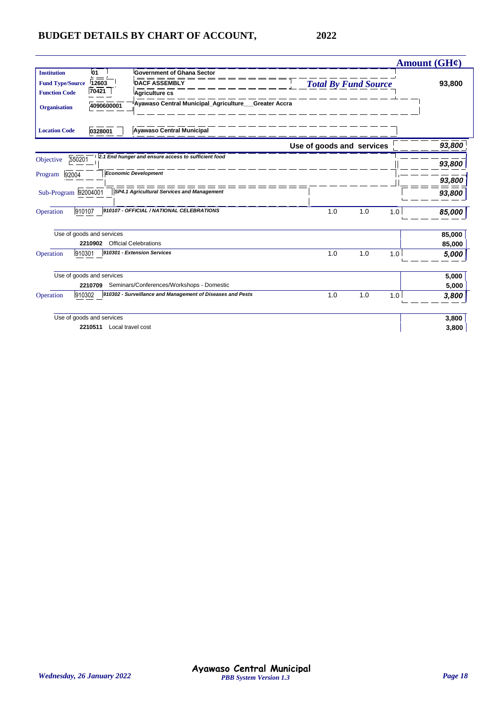|                           |                              |                                                            |                             |     | Amount $(GH\mathcal{C})$ |        |
|---------------------------|------------------------------|------------------------------------------------------------|-----------------------------|-----|--------------------------|--------|
| <b>Institution</b>        | 01                           | <b>Government of Ghana Sector</b>                          |                             |     |                          |        |
| <b>Fund Type/Source</b>   | 12603                        | <b>DACF ASSEMBLY</b>                                       | <b>Total By Fund Source</b> |     |                          | 93,800 |
| <b>Function Code</b>      | 70421                        | Agriculture cs                                             |                             |     |                          |        |
| <b>Organisation</b>       | 4090600001                   | Ayawaso Central Municipal_Agriculture___Greater Accra      |                             |     |                          |        |
| <b>Location Code</b>      | 0328001                      | <b>Ayawaso Central Municipal</b>                           |                             |     |                          |        |
|                           |                              |                                                            | Use of goods and services   |     |                          | 93,800 |
| 550201<br>Objective       |                              | 2.1 End hunger and ensure access to sufficient food        |                             |     |                          |        |
|                           |                              |                                                            |                             |     |                          | 93,800 |
| 92004<br>Program          |                              | <b>Economic Development</b>                                |                             |     |                          | 93,800 |
| Sub-Program 92004001      |                              | SP4.1 Agricultural Services and Management                 |                             |     |                          | 93,800 |
| 910107<br>Operation       |                              | 910107 - OFFICIAL / NATIONAL CELEBRATIONS                  | 1.0                         | 1.0 | 1.0                      | 85,000 |
| Use of goods and services |                              |                                                            |                             |     |                          | 85,000 |
|                           | 2210902                      | <b>Official Celebrations</b>                               |                             |     |                          | 85,000 |
| 910301<br>Operation       |                              | 910301 - Extension Services                                | 1.0                         | 1.0 | 1.0                      | 5,000  |
| Use of goods and services |                              |                                                            |                             |     |                          | 5,000  |
|                           | 2210709                      | Seminars/Conferences/Workshops - Domestic                  |                             |     |                          | 5,000  |
| 910302<br>Operation       |                              | 910302 - Surveillance and Management of Diseases and Pests | 1.0                         | 1.0 | 1.0                      | 3,800  |
| Use of goods and services |                              |                                                            |                             |     |                          | 3,800  |
|                           | Local travel cost<br>2210511 |                                                            |                             |     |                          | 3,800  |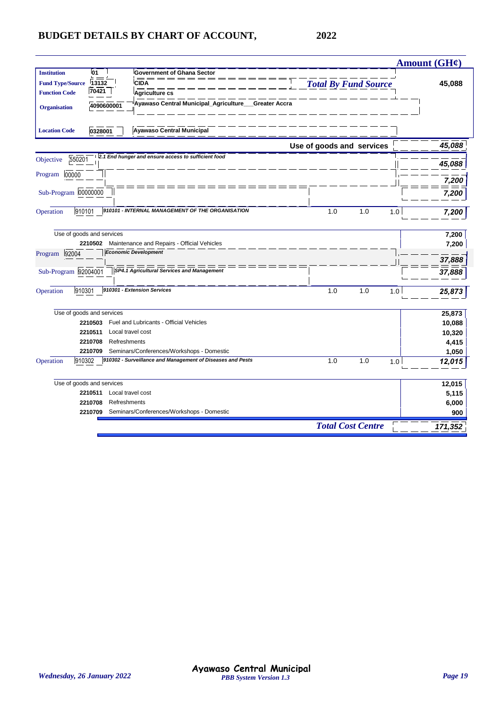|                                                                                                        | Amount (GH¢)     |
|--------------------------------------------------------------------------------------------------------|------------------|
| <b>Institution</b><br>01<br><b>Government of Ghana Sector</b>                                          |                  |
| <b>Total By Fund Source</b><br><b>Fund Type/Source</b><br>13132<br><b>CIDA</b>                         | 45,088           |
| 70421<br><b>Function Code</b><br><b>Agriculture cs</b>                                                 |                  |
| Ayawaso Central Municipal_Agriculture<br><b>Greater Accra</b><br>4090600001<br><b>Organisation</b>     |                  |
| <b>Ayawaso Central Municipal</b><br><b>Location Code</b><br>0328001                                    |                  |
| Use of goods and services                                                                              | 45,088           |
| 2.1 End hunger and ensure access to sufficient food<br>550201<br>Objective                             |                  |
|                                                                                                        | 45,088           |
| 00000<br>Program                                                                                       | 7,200            |
| Sub-Program 00000000                                                                                   |                  |
|                                                                                                        | 7,200            |
| 910101 - INTERNAL MANAGEMENT OF THE ORGANISATION<br>910101<br>1.0<br>1.0<br>Operation                  | 1.0<br>7,200     |
|                                                                                                        |                  |
| Use of goods and services                                                                              | 7,200            |
| Maintenance and Repairs - Official Vehicles<br>2210502<br><b>Economic Development</b><br>Program 92004 | 7,200            |
|                                                                                                        | 37,888           |
| Sub-Program 92004001<br><b>SP4.1 Agricultural Services and Management</b>                              | 37,888           |
| 910301 - Extension Services<br>910301<br>1.0<br>1.0<br>Operation                                       | 1.0<br>25,873    |
|                                                                                                        |                  |
| Use of goods and services<br>Fuel and Lubricants - Official Vehicles<br>2210503                        | 25,873           |
| 2210511<br>Local travel cost                                                                           | 10,088<br>10,320 |
| 2210708<br>Refreshments                                                                                | 4,415            |
| Seminars/Conferences/Workshops - Domestic<br>2210709                                                   | 1,050            |
| 910302 - Surveillance and Management of Diseases and Pests<br>910302<br>1.0<br>1.0<br>Operation        | 1.0<br>12,015    |
|                                                                                                        |                  |
| Use of goods and services                                                                              | 12,015           |
| Local travel cost<br>2210511                                                                           | 5,115            |
| 2210708<br>Refreshments                                                                                | 6,000            |
| Seminars/Conferences/Workshops - Domestic<br>2210709                                                   | 900              |
| <b>Total Cost Centre</b>                                                                               | 171,352          |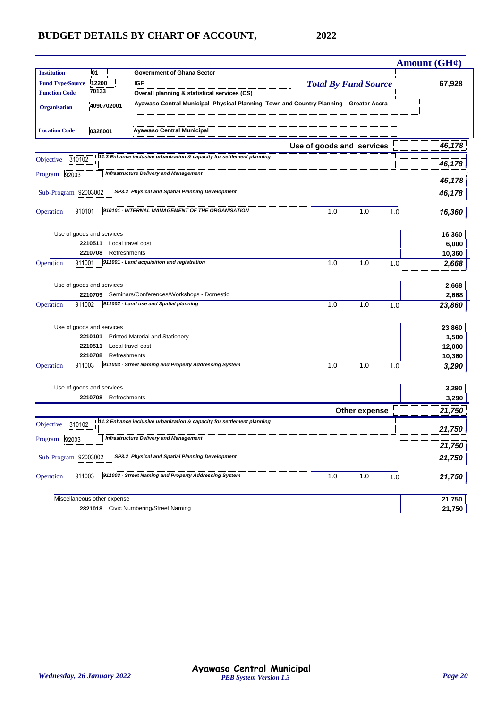|                         |                             |                                                                                     |                             |     | Amount (GH¢)     |
|-------------------------|-----------------------------|-------------------------------------------------------------------------------------|-----------------------------|-----|------------------|
| <b>Institution</b>      | 01                          | <b>Government of Ghana Sector</b>                                                   |                             |     |                  |
| <b>Fund Type/Source</b> | 12200                       | <b>IGF</b>                                                                          | <b>Total By Fund Source</b> |     | 67,928           |
| <b>Function Code</b>    | 70133                       | Overall planning & statistical services (CS)                                        |                             |     |                  |
| <b>Organisation</b>     | 4090702001                  | Ayawaso Central Municipal_Physical Planning_Town and Country Planning_Greater Accra |                             |     |                  |
|                         |                             |                                                                                     |                             |     |                  |
| <b>Location Code</b>    | 0328001                     | <b>Ayawaso Central Municipal</b>                                                    |                             |     |                  |
|                         |                             |                                                                                     | Use of goods and services   |     | 46,178           |
| 310102<br>Objective     |                             | 11.3 Enhance inclusive urbanization & capacity for settlement planning              |                             |     | 46,178           |
| Program<br>92003        |                             | <b>Infrastructure Delivery and Management</b>                                       |                             |     | 46,178           |
| Sub-Program 92003002    |                             | SP3.2 Physical and Spatial Planning Development                                     |                             |     | 46,17            |
| 910101<br>Operation     |                             | 910101 - INTERNAL MANAGEMENT OF THE ORGANISATION                                    | 1.0<br>1.0                  | 1.0 | 16,360           |
|                         | Use of goods and services   |                                                                                     |                             |     | 16,360           |
|                         | 2210511                     | Local travel cost                                                                   |                             |     | 6,000            |
|                         | 2210708                     | Refreshments                                                                        |                             |     | 10,360           |
| Operation<br>911001     |                             | 911001 - Land acquisition and registration                                          | 1.0<br>1.0                  | 1.0 | 2,668            |
|                         | Use of goods and services   |                                                                                     |                             |     | 2,668            |
|                         | 2210709                     | Seminars/Conferences/Workshops - Domestic                                           |                             |     | 2,668            |
| 911002<br>Operation     |                             | 911002 - Land use and Spatial planning                                              | 1.0<br>1.0                  | 1.0 | 23,860           |
|                         | Use of goods and services   |                                                                                     |                             |     | 23,860           |
|                         | 2210101                     | <b>Printed Material and Stationery</b>                                              |                             |     | 1,500            |
|                         | 2210511                     | Local travel cost                                                                   |                             |     | 12,000           |
|                         | 2210708                     | Refreshments                                                                        |                             |     | 10,360           |
| 911003<br>Operation     |                             | 911003 - Street Naming and Property Addressing System                               | 1.0<br>1.0                  | 1.0 | 3,290            |
|                         | Use of goods and services   |                                                                                     |                             |     | 3,290            |
|                         | 2210708 Refreshments        |                                                                                     |                             |     | 3,290            |
|                         |                             |                                                                                     | Other expense               |     | 21,750           |
| 310102<br>Objective     |                             | 11.3 Enhance inclusive urbanization & capacity for settlement planning              |                             |     | 21,750           |
| Program<br>92003        |                             | <b>Infrastructure Delivery and Management</b>                                       |                             |     | 21,750           |
| Sub-Program 92003002    |                             | SP3.2 Physical and Spatial Planning Development                                     |                             |     | 21,750           |
| 911003<br>Operation     |                             | 911003 - Street Naming and Property Addressing System                               | 1.0<br>1.0                  | 1.0 | 21,750           |
|                         |                             |                                                                                     |                             |     |                  |
|                         | Miscellaneous other expense | 2821018 Civic Numbering/Street Naming                                               |                             |     | 21,750<br>21,750 |
|                         |                             |                                                                                     |                             |     |                  |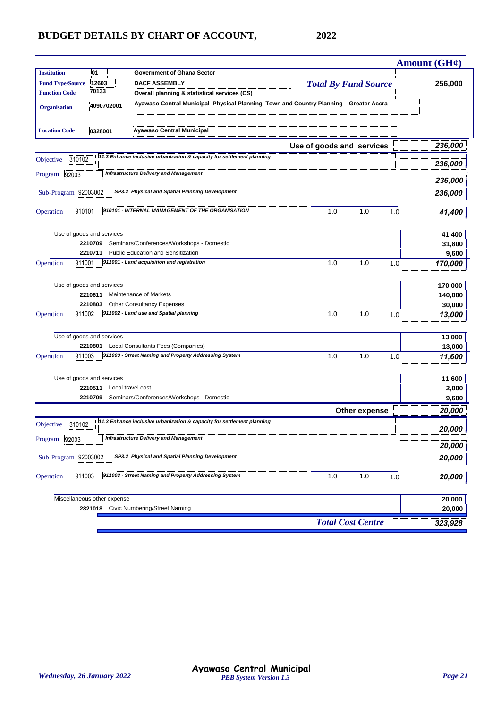|                                   |                                                                                     |                             | Amount $(GH\mathcal{C})$ |
|-----------------------------------|-------------------------------------------------------------------------------------|-----------------------------|--------------------------|
| <b>Institution</b><br>01          | <b>Government of Ghana Sector</b>                                                   |                             |                          |
| <b>Fund Type/Source</b><br>12603  | <b>DACF ASSEMBLY</b>                                                                | <b>Total By Fund Source</b> | 256,000                  |
| 70133<br><b>Function Code</b>     | Overall planning & statistical services (CS)                                        |                             |                          |
| 4090702001<br><b>Organisation</b> | Ayawaso Central Municipal_Physical Planning_Town and Country Planning_Greater Accra |                             |                          |
|                                   |                                                                                     |                             |                          |
| <b>Location Code</b><br>0328001   | <b>Ayawaso Central Municipal</b>                                                    |                             |                          |
|                                   |                                                                                     | Use of goods and services   | 236,000                  |
| 310102<br>Objective               | 11.3 Enhance inclusive urbanization & capacity for settlement planning              |                             | 236,000                  |
| 92003<br>Program                  | <b>Infrastructure Delivery and Management</b>                                       |                             | 236,000                  |
|                                   | SP3.2 Physical and Spatial Planning Development                                     |                             |                          |
| Sub-Program 92003002              |                                                                                     |                             | 236,000                  |
| 910101<br>Operation               | 910101 - INTERNAL MANAGEMENT OF THE ORGANISATION                                    | 1.0<br>1.0                  | 1.0<br>41,400            |
|                                   |                                                                                     |                             |                          |
| Use of goods and services         |                                                                                     |                             | 41,400                   |
| 2210709                           | Seminars/Conferences/Workshops - Domestic                                           |                             | 31,800                   |
| 2210711                           | <b>Public Education and Sensitization</b>                                           |                             | 9,600                    |
| 911001<br>Operation               | 911001 - Land acquisition and registration                                          | 1.0<br>1.0                  | 1.0<br>170,000           |
|                                   |                                                                                     |                             |                          |
| Use of goods and services         |                                                                                     |                             | 170,000                  |
| 2210611                           | Maintenance of Markets                                                              |                             | 140,000                  |
| 2210803                           | <b>Other Consultancy Expenses</b>                                                   |                             | 30,000                   |
| 911002<br>Operation               | 911002 - Land use and Spatial planning                                              | 1.0<br>1.0                  | 1.0<br>13,000            |
|                                   |                                                                                     |                             |                          |
| Use of goods and services         |                                                                                     |                             | 13,000                   |
| 2210801                           | Local Consultants Fees (Companies)                                                  |                             | 13,000                   |
| Operation<br>911003               | 911003 - Street Naming and Property Addressing System                               | 1.0<br>1.0                  | 1.0<br>11,600            |
|                                   |                                                                                     |                             |                          |
| Use of goods and services         |                                                                                     |                             | 11,600                   |
| 2210511                           | Local travel cost                                                                   |                             | 2,000                    |
| 2210709                           | Seminars/Conferences/Workshops - Domestic                                           |                             | 9,600                    |
|                                   |                                                                                     | Other expense               | 20,000                   |
| 310102<br>Objective               | 11.3 Enhance inclusive urbanization & capacity for settlement planning              |                             |                          |
|                                   | <b>Infrastructure Delivery and Management</b>                                       |                             | 20,000                   |
| Program 92003                     |                                                                                     |                             | 20,000                   |
| Sub-Program 92003002              | SP3.2 Physical and Spatial Planning Development                                     |                             | 20,000                   |
|                                   |                                                                                     |                             |                          |
| 911003<br>Operation               | 911003 - Street Naming and Property Addressing System                               | 1.0<br>1.0                  | 1.0<br>20,000            |
|                                   |                                                                                     |                             |                          |
| Miscellaneous other expense       |                                                                                     |                             | 20,000                   |
|                                   | 2821018 Civic Numbering/Street Naming                                               |                             | 20,000                   |
|                                   |                                                                                     | <b>Total Cost Centre</b>    | 323,928                  |
|                                   |                                                                                     |                             |                          |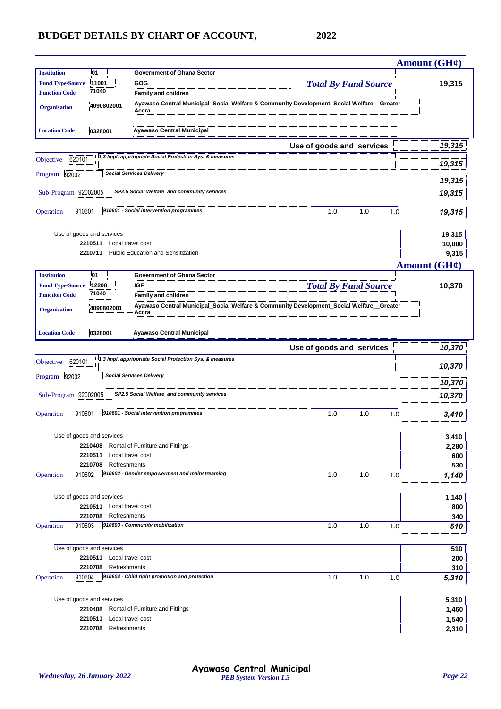|                                                 |                                    |                                                                                                  |                             |            | Amount $(GH\mathcal{C})$ |
|-------------------------------------------------|------------------------------------|--------------------------------------------------------------------------------------------------|-----------------------------|------------|--------------------------|
| <b>Institution</b>                              | 01                                 | <b>Government of Ghana Sector</b>                                                                |                             |            |                          |
| <b>Fund Type/Source</b>                         | 11001                              | <b>GOG</b>                                                                                       | <b>Total By Fund Source</b> |            | 19,315                   |
| <b>Function Code</b>                            | 71040                              | <b>Family and children</b>                                                                       |                             |            |                          |
| <b>Organisation</b>                             | 4090802001                         | Ayawaso Central Municipal_Social Welfare & Community Development_Social Welfare_Greater<br>Accra |                             |            |                          |
| <b>Location Code</b>                            | 0328001                            | Ayawaso Central Municipal                                                                        |                             |            |                          |
|                                                 |                                    |                                                                                                  | Use of goods and services   |            | 19,315                   |
| 620101<br>Objective                             |                                    | 1.3 Impl. appriopriate Social Protection Sys. & measures                                         |                             |            |                          |
|                                                 |                                    |                                                                                                  |                             |            | 19,315                   |
| 92002<br>Program                                |                                    | <b>Social Services Delivery</b>                                                                  |                             |            | 19,315                   |
| Sub-Program 92002005                            |                                    | SP2.5 Social Welfare and community services                                                      |                             |            | 19,315                   |
|                                                 |                                    |                                                                                                  |                             |            |                          |
| 910601<br>Operation                             |                                    | 910601 - Social intervention programmes                                                          | 1.0                         | 1.0<br>1.0 | 19,315                   |
|                                                 |                                    |                                                                                                  |                             |            |                          |
|                                                 | Use of goods and services          |                                                                                                  |                             |            | 19,315                   |
|                                                 | 2210511<br>Local travel cost       |                                                                                                  |                             |            | 10,000                   |
|                                                 | 2210711                            | <b>Public Education and Sensitization</b>                                                        |                             |            | 9,315                    |
|                                                 |                                    |                                                                                                  |                             |            | Amount $(GH\ell)$        |
| <b>Institution</b>                              | 01                                 | <b>Government of Ghana Sector</b>                                                                |                             |            |                          |
| <b>Fund Type/Source</b><br><b>Function Code</b> | 12200<br>71040                     | <b>IGF</b><br>Family and children                                                                | <b>Total By Fund Source</b> |            | 10,370                   |
|                                                 |                                    | Ayawaso Central Municipal_Social Welfare & Community Development_Social Welfare__Greater         |                             |            |                          |
| <b>Organisation</b>                             | 4090802001                         | Accra                                                                                            |                             |            |                          |
| <b>Location Code</b>                            | 0328001                            | Ayawaso Central Municipal                                                                        |                             |            |                          |
|                                                 |                                    |                                                                                                  | Use of goods and services   |            | 10,370                   |
| 620101<br>Objective                             |                                    | 1.3 Impl. appriopriate Social Protection Sys. & measures                                         |                             |            |                          |
|                                                 |                                    | <b>Social Services Delivery</b>                                                                  |                             |            | 10,370                   |
| Program 92002                                   |                                    |                                                                                                  |                             |            | 10,370                   |
| Sub-Program 92002005                            |                                    | SP2.5 Social Welfare and community services                                                      |                             |            | 10,370                   |
|                                                 |                                    |                                                                                                  |                             |            |                          |
| 910601<br>Operation                             |                                    | 910601 - Social intervention programmes                                                          | 1.0                         | 1.0<br>1.0 | 3,410                    |
|                                                 |                                    |                                                                                                  |                             |            |                          |
|                                                 | Use of goods and services          |                                                                                                  |                             |            | 3,410                    |
|                                                 | 2210408                            | Rental of Furniture and Fittings                                                                 |                             |            | 2,280                    |
|                                                 | 2210511<br>Refreshments<br>2210708 | Local travel cost                                                                                |                             |            | 600<br>530               |
| 910602<br>Operation                             |                                    | 910602 - Gender empowerment and mainstreaming                                                    | 1.0                         | 1.0<br>1.0 | 1,140                    |
|                                                 |                                    |                                                                                                  |                             |            |                          |
|                                                 | Use of goods and services          |                                                                                                  |                             |            | 1,140                    |
|                                                 | 2210511<br>Local travel cost       |                                                                                                  |                             |            | 800                      |
|                                                 | 2210708<br>Refreshments            |                                                                                                  |                             |            | 340                      |
| 910603<br>Operation                             |                                    | 910603 - Community mobilization                                                                  | 1.0                         | 1.0<br>1.0 | 510                      |
|                                                 |                                    |                                                                                                  |                             |            |                          |
|                                                 | Use of goods and services          |                                                                                                  |                             |            | 510                      |
|                                                 | Local travel cost<br>2210511       |                                                                                                  |                             |            | 200                      |
|                                                 | 2210708<br>Refreshments            |                                                                                                  |                             |            | 310                      |
| 910604<br>Operation                             |                                    | 910604 - Child right promotion and protection                                                    | 1.0                         | 1.0<br>1.0 | 5,310                    |
|                                                 | Use of goods and services          |                                                                                                  |                             |            | 5,310                    |
|                                                 | 2210408                            | Rental of Furniture and Fittings                                                                 |                             |            | 1,460                    |
|                                                 | 2210511                            | Local travel cost                                                                                |                             |            | 1,540                    |
|                                                 | Refreshments<br>2210708            |                                                                                                  |                             |            | 2,310                    |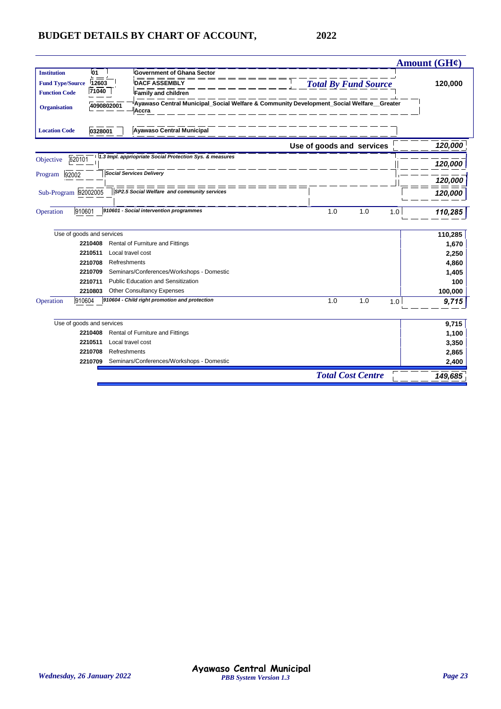|                                                                                                                                       |                             | Amount $(GH\ell)$ |
|---------------------------------------------------------------------------------------------------------------------------------------|-----------------------------|-------------------|
| 01<br><b>Government of Ghana Sector</b><br><b>Institution</b>                                                                         |                             |                   |
| <b>Fund Type/Source</b><br>12603<br><b>DACF ASSEMBLY</b>                                                                              | <b>Total By Fund Source</b> | 120,000           |
| 71040<br><b>Function Code</b><br>Family and children                                                                                  |                             |                   |
| Ayawaso Central Municipal_Social Welfare & Community Development_Social Welfare_Greater<br>4090802001<br><b>Organisation</b><br>Accra |                             |                   |
| <b>Ayawaso Central Municipal</b><br><b>Location Code</b><br>0328001                                                                   |                             |                   |
|                                                                                                                                       | Use of goods and services   | 120,000           |
| 1.3 Impl. appriopriate Social Protection Sys. & measures<br>620101<br>Objective<br><b>Social Services Delivery</b>                    |                             | 120,000           |
| 92002<br>Program                                                                                                                      |                             | 120,000           |
| Sub-Program 92002005<br>SP2.5 Social Welfare and community services                                                                   |                             | 120,000           |
| 910601 - Social intervention programmes<br>910601<br>Operation                                                                        | 1.0<br>1.0<br>1.0           | 110,285           |
| Use of goods and services                                                                                                             |                             | 110,285           |
| 2210408<br>Rental of Furniture and Fittings                                                                                           |                             | 1,670             |
| 2210511<br>Local travel cost                                                                                                          |                             | 2,250             |
| 2210708<br>Refreshments                                                                                                               |                             | 4,860             |
| Seminars/Conferences/Workshops - Domestic<br>2210709                                                                                  |                             | 1,405             |
| Public Education and Sensitization<br>2210711                                                                                         |                             | 100               |
| <b>Other Consultancy Expenses</b><br>2210803                                                                                          |                             | 100,000           |
| 910604 - Child right promotion and protection<br>910604<br>Operation                                                                  | 1.0<br>1.0<br>1.0           | 9,715             |
| Use of goods and services                                                                                                             |                             | 9,715             |
| Rental of Furniture and Fittings<br>2210408                                                                                           |                             | 1,100             |
| 2210511<br>Local travel cost                                                                                                          |                             | 3,350             |
| 2210708<br>Refreshments                                                                                                               |                             | 2,865             |
| Seminars/Conferences/Workshops - Domestic<br>2210709                                                                                  |                             | 2,400             |
|                                                                                                                                       | <b>Total Cost Centre</b>    | 149,685           |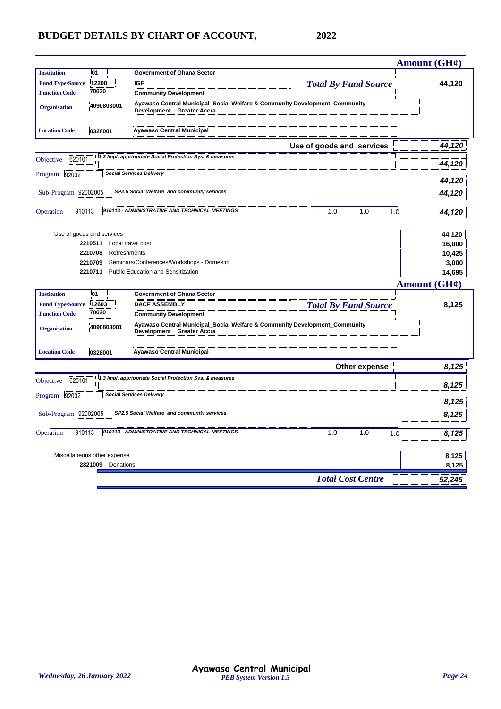|                         |                             |                                                                                                         |                             | Amount (GH¢)        |
|-------------------------|-----------------------------|---------------------------------------------------------------------------------------------------------|-----------------------------|---------------------|
| <b>Institution</b>      | 01                          | <b>Government of Ghana Sector</b>                                                                       |                             |                     |
| <b>Fund Type/Source</b> | 12200                       | <b>IGF</b>                                                                                              | <b>Total By Fund Source</b> | 44,120              |
| <b>Function Code</b>    | 70620                       | <b>Community Development</b>                                                                            |                             |                     |
| <b>Organisation</b>     | 4090803001                  | Ayawaso Central Municipal_Social Welfare & Community Development_Community<br>Development_Greater Accra |                             |                     |
| <b>Location Code</b>    | 0328001                     | <b>Ayawaso Central Municipal</b>                                                                        |                             |                     |
|                         |                             |                                                                                                         | Use of goods and services   | 44,120              |
| 620101<br>Objective     |                             | 1.3 Impl. appriopriate Social Protection Sys. & measures                                                |                             | 44,120              |
| 92002<br>Program        |                             | <b>Social Services Delivery</b>                                                                         |                             | 44,120              |
| Sub-Program 92002005    |                             | SP2.5 Social Welfare and community services                                                             |                             | 44,120              |
| 910113<br>Operation     |                             | 910113 - ADMINISTRATIVE AND TECHNICAL MEETINGS                                                          | 1.0<br>1.0<br>1.0           | 44,120              |
|                         | Use of goods and services   |                                                                                                         |                             | 44,120              |
|                         | 2210511                     | Local travel cost                                                                                       |                             | 16,000              |
|                         | 2210708<br>Refreshments     |                                                                                                         |                             | 10,425              |
|                         | 2210709                     | Seminars/Conferences/Workshops - Domestic                                                               |                             | 3,000               |
|                         | 2210711                     | <b>Public Education and Sensitization</b>                                                               |                             | 14,695              |
|                         |                             |                                                                                                         |                             | <b>Amount (GH¢)</b> |
| <b>Institution</b>      | l01                         | <b>Government of Ghana Sector</b>                                                                       |                             |                     |
| <b>Fund Type/Source</b> | 12603                       | <b>DACF ASSEMBLY</b>                                                                                    | <b>Total By Fund Source</b> | 8,125               |
| <b>Function Code</b>    | 70620                       | <b>Community Development</b>                                                                            |                             |                     |
| <b>Organisation</b>     | 4090803001                  | Ayawaso Central Municipal_Social Welfare & Community Development_Community<br>Development_Greater Accra |                             |                     |
| <b>Location Code</b>    | 0328001                     | <b>Ayawaso Central Municipal</b>                                                                        |                             |                     |
|                         |                             |                                                                                                         | Other expense               | 8,125               |
| 620101<br>Objective     |                             | 1.3 Impl. appriopriate Social Protection Sys. & measures                                                |                             | 8,125               |
|                         |                             |                                                                                                         |                             |                     |
| 92002                   |                             | <b>Social Services Delivery</b>                                                                         |                             |                     |
|                         |                             | SP2.5 Social Welfare and community services                                                             |                             | 8,125               |
| Sub-Program 92002005    |                             |                                                                                                         |                             | 8,125               |
| 910113                  |                             | 910113 - ADMINISTRATIVE AND TECHNICAL MEETINGS                                                          | 1.0<br>1.0<br>1.0           | 8,125               |
|                         | Miscellaneous other expense |                                                                                                         |                             | 8,125               |
| Program<br>Operation    | 2821009<br>Donations        |                                                                                                         |                             | 8,125               |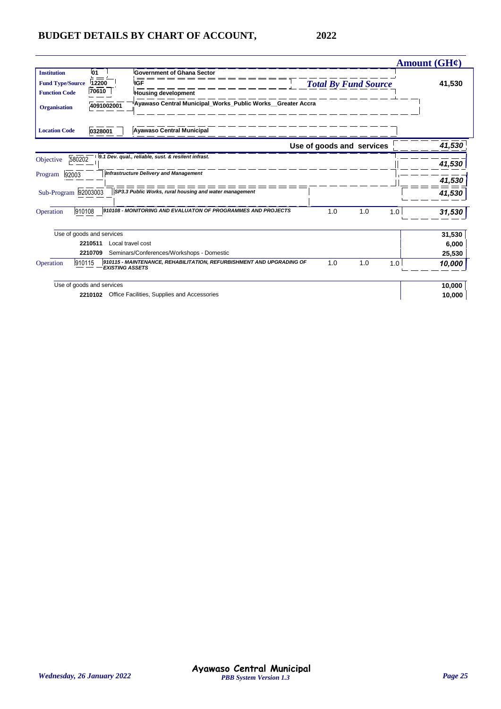|                         |                           |                                                                      |                             |     |     | Amount $(GH\ell)$ |
|-------------------------|---------------------------|----------------------------------------------------------------------|-----------------------------|-----|-----|-------------------|
| <b>Institution</b>      | <b>01</b>                 | <b>Government of Ghana Sector</b>                                    |                             |     |     |                   |
| <b>Fund Type/Source</b> | 12200                     | <b>IGF</b>                                                           | <b>Total By Fund Source</b> |     |     | 41,530            |
| <b>Function Code</b>    | 70610                     | <b>Housing development</b>                                           |                             |     |     |                   |
| <b>Organisation</b>     | 4091002001                | Ayawaso Central Municipal Works Public Works Greater Accra           |                             |     |     |                   |
| <b>Location Code</b>    | 0328001                   | <b>Ayawaso Central Municipal</b>                                     |                             |     |     |                   |
|                         |                           |                                                                      | Use of goods and services   |     |     | 41,530            |
| 580202<br>Objective     |                           | 9.1 Dev. qual., reliable, sust. & resilent infrast.                  |                             |     |     | 41,530            |
| 92003<br>Program        |                           | <b>Infrastructure Delivery and Management</b>                        |                             |     |     | 41,530            |
| Sub-Program 92003003    |                           | SP3.3 Public Works, rural housing and water management               |                             |     |     | 41,530            |
| 910108<br>Operation     |                           | 910108 - MONITORING AND EVALUATON OF PROGRAMMES AND PROJECTS         | 1.0                         | 1.0 | 1.0 | 31,530            |
|                         | Use of goods and services |                                                                      |                             |     |     | 31,530            |
|                         | 2210511                   | Local travel cost                                                    |                             |     |     | 6,000             |
|                         | 2210709                   | Seminars/Conferences/Workshops - Domestic                            |                             |     |     | 25,530            |
| 910115<br>Operation     | <b>EXISTING ASSETS</b>    | 910115 - MAINTENANCE, REHABILITATION, REFURBISHMENT AND UPGRADING OF | 1.0                         | 1.0 | 1.0 | 10,000            |
|                         | Use of goods and services |                                                                      |                             |     |     | 10,000            |
|                         | 2210102                   | Office Facilities, Supplies and Accessories                          |                             |     |     | 10,000            |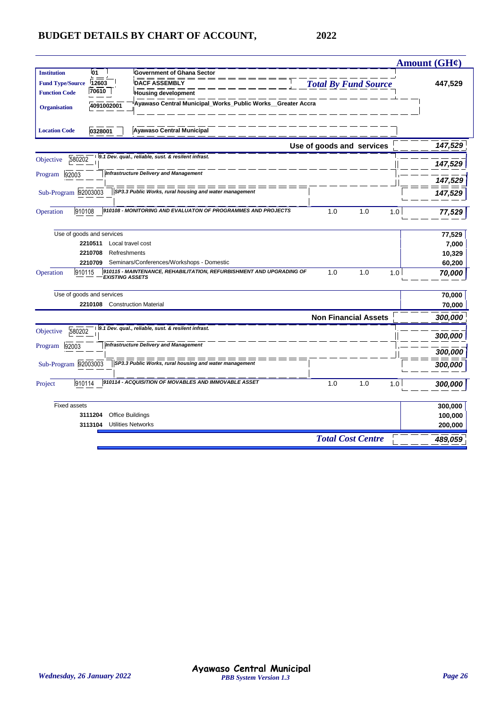|                         |                           |                                                                                                |                             | Amount $(GH\ell)$ |
|-------------------------|---------------------------|------------------------------------------------------------------------------------------------|-----------------------------|-------------------|
| <b>Institution</b>      | 01                        | <b>Government of Ghana Sector</b>                                                              |                             |                   |
| <b>Fund Type/Source</b> | 12603                     | <b>DACF ASSEMBLY</b>                                                                           | <b>Total By Fund Source</b> | 447,529           |
| <b>Function Code</b>    | 70610                     | <b>Housing development</b>                                                                     |                             |                   |
| <b>Organisation</b>     | 4091002001                | Ayawaso Central Municipal_Works_Public Works_Greater Accra                                     |                             |                   |
| <b>Location Code</b>    | 0328001                   | <b>Ayawaso Central Municipal</b>                                                               |                             |                   |
|                         |                           |                                                                                                | Use of goods and services   | 147,529           |
| 580202<br>Objective     |                           | 9.1 Dev. qual., reliable, sust. & resilent infrast.                                            |                             | 147,529           |
| 92003<br>Program        |                           | <b>Infrastructure Delivery and Management</b>                                                  |                             | 147,529           |
| Sub-Program 92003003    |                           | SP3.3 Public Works, rural housing and water management                                         |                             | 147,529           |
| Operation<br>910108     |                           | 910108 - MONITORING AND EVALUATON OF PROGRAMMES AND PROJECTS                                   | 1.0<br>1.0<br>1.0           | 77,529            |
|                         | Use of goods and services |                                                                                                |                             | 77,529            |
|                         | 2210511                   | Local travel cost                                                                              |                             | 7,000             |
|                         | 2210708                   | Refreshments                                                                                   |                             | 10,329            |
|                         | 2210709                   | Seminars/Conferences/Workshops - Domestic                                                      |                             | 60,200            |
| 910115<br>Operation     |                           | 910115 - MAINTENANCE, REHABILITATION, REFURBISHMENT AND UPGRADING OF<br><b>EXISTING ASSETS</b> | 1.0<br>1.0<br>1.0           | 70,000            |
|                         | Use of goods and services |                                                                                                |                             | 70,000            |
|                         | 2210108                   | <b>Construction Material</b>                                                                   |                             | 70,000            |
|                         |                           |                                                                                                | <b>Non Financial Assets</b> | 300,000           |
| 580202<br>Objective     |                           | 9.1 Dev. qual., reliable, sust. & resilent infrast.                                            |                             | 300,000           |
| 92003<br>Program        |                           | <b>Infrastructure Delivery and Management</b>                                                  |                             | 300,000           |
| Sub-Program 92003003    |                           | SP3.3 Public Works, rural housing and water management                                         |                             | 300,000           |
| 910114<br>Project       |                           | 910114 - ACQUISITION OF MOVABLES AND IMMOVABLE ASSET                                           | 1.0<br>1.0<br>1.0           | 300,000           |
| <b>Fixed assets</b>     |                           |                                                                                                |                             | 300,000           |
|                         | 3111204                   | <b>Office Buildings</b>                                                                        |                             | 100,000           |
|                         | 3113104                   | <b>Utilities Networks</b>                                                                      |                             | 200,000           |
|                         |                           |                                                                                                | <b>Total Cost Centre</b>    | 489,059           |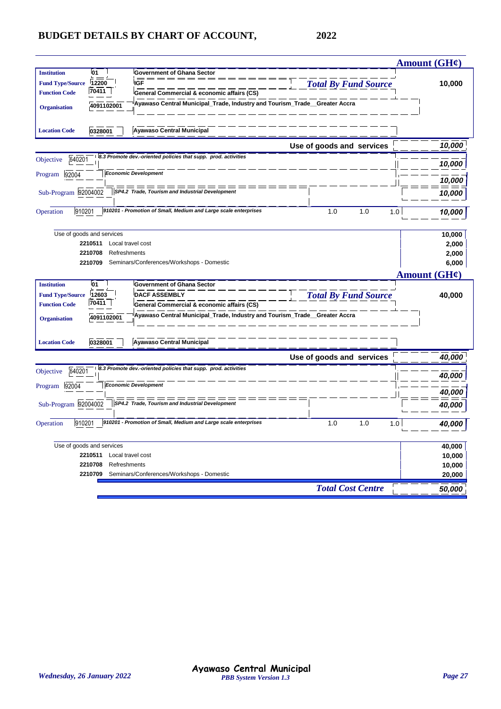|                                           |                             |                                                                            |                             | <b>Amount (GH¢)</b> |
|-------------------------------------------|-----------------------------|----------------------------------------------------------------------------|-----------------------------|---------------------|
| 01<br><b>Institution</b>                  |                             | <b>Government of Ghana Sector</b>                                          |                             |                     |
| 12200<br><b>Fund Type/Source</b><br>70411 |                             | <b>IGF</b>                                                                 | <b>Total By Fund Source</b> | 10,000              |
| <b>Function Code</b>                      |                             | General Commercial & economic affairs (CS)                                 |                             |                     |
| <b>Organisation</b>                       | 4091102001                  | Ayawaso Central Municipal Trade, Industry and Tourism Trade Greater Accra  |                             |                     |
|                                           |                             |                                                                            |                             |                     |
| <b>Location Code</b><br>0328001           |                             | <b>Ayawaso Central Municipal</b>                                           |                             |                     |
|                                           |                             |                                                                            | Use of goods and services   | 10,000              |
| 640201<br>Objective                       |                             | 8.3 Promote dev.-oriented policies that supp. prod. activities             |                             | 10,000              |
| 92004<br>Program                          | <b>Economic Development</b> |                                                                            |                             |                     |
|                                           |                             | ========                                                                   |                             | 10,000              |
| Sub-Program 92004002                      |                             | SP4.2 Trade, Tourism and Industrial Development                            |                             | 10,000              |
|                                           |                             |                                                                            |                             |                     |
| 910201<br>Operation                       |                             | 910201 - Promotion of Small, Medium and Large scale enterprises            | 1.0<br>1.0<br>1.0           | 10,000              |
| Use of goods and services                 |                             |                                                                            |                             |                     |
| 2210511                                   | Local travel cost           |                                                                            |                             | 10,000<br>2,000     |
| 2210708                                   | Refreshments                |                                                                            |                             | 2,000               |
| 2210709                                   |                             | Seminars/Conferences/Workshops - Domestic                                  |                             | 6,000               |
|                                           |                             |                                                                            |                             | Amount (GH¢)        |
| l01<br><b>Institution</b>                 |                             | <b>Government of Ghana Sector</b>                                          |                             |                     |
| 12603<br><b>Fund Type/Source</b>          |                             | <b>DACF ASSEMBLY</b>                                                       | <b>Total By Fund Source</b> | 40,000              |
| 70411<br><b>Function Code</b>             |                             | General Commercial & economic affairs (CS)                                 |                             |                     |
|                                           |                             | Ayawaso Central Municipal_Trade, Industry and Tourism_Trade__Greater Accra |                             |                     |
| <b>Organisation</b>                       | 4091102001                  |                                                                            |                             |                     |
| <b>Location Code</b>                      | 0328001                     | <b>Ayawaso Central Municipal</b>                                           |                             |                     |
|                                           |                             |                                                                            | Use of goods and services   | 40,000              |
|                                           |                             | 8.3 Promote dev.-oriented policies that supp. prod. activities             |                             |                     |
| 640201<br>Objective                       |                             |                                                                            |                             | 40,000              |
| 92004<br>Program                          | <b>Economic Development</b> |                                                                            |                             | 40,000              |
| Sub-Program 92004002                      |                             | SP4.2 Trade, Tourism and Industrial Development                            |                             | 40,000              |
|                                           |                             |                                                                            |                             |                     |
| 910201<br>Operation                       |                             | 910201 - Promotion of Small, Medium and Large scale enterprises            | 1.0<br>1.0<br>1.0           | 40,000              |
|                                           |                             |                                                                            |                             |                     |
| Use of goods and services                 | Local travel cost           |                                                                            |                             | 40,000              |
| 2210511<br>2210708                        | Refreshments                |                                                                            |                             | 10,000<br>10,000    |
| 2210709                                   |                             | Seminars/Conferences/Workshops - Domestic                                  |                             | 20,000              |
|                                           |                             |                                                                            | <b>Total Cost Centre</b>    | 50,000              |
|                                           |                             |                                                                            |                             |                     |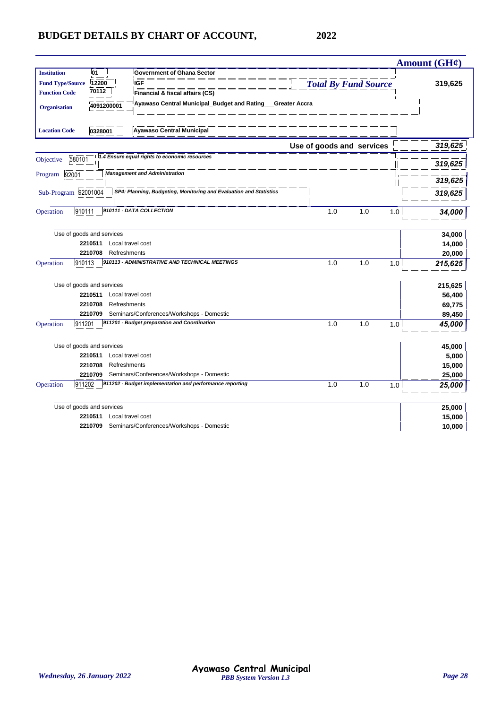| <b>Institution</b><br>01<br><b>Government of Ghana Sector</b><br><b>IGF</b><br><b>Fund Type/Source</b><br>12200 | <b>Total By Fund Source</b> |         |
|-----------------------------------------------------------------------------------------------------------------|-----------------------------|---------|
|                                                                                                                 |                             |         |
|                                                                                                                 |                             | 319,625 |
| 70112<br><b>Function Code</b><br>Financial & fiscal affairs (CS)                                                |                             |         |
| Ayawaso Central Municipal_Budget and Rating<br>Greater Accra<br>4091200001<br><b>Organisation</b>               |                             |         |
| <b>Ayawaso Central Municipal</b><br><b>Location Code</b><br>0328001                                             |                             |         |
| Use of goods and services                                                                                       |                             | 319,625 |
| 1.4 Ensure equal rights to economic resources                                                                   |                             |         |
| 580101<br>Objective                                                                                             |                             | 319,625 |
| <b>Management and Administration</b><br>92001<br>Program                                                        |                             |         |
| ———————                                                                                                         |                             | 319,625 |
| Sub-Program 92001004<br>SP4: Planning, Budgeting, Monitoring and Evaluation and Statistics                      |                             | 319,625 |
| 910111 - DATA COLLECTION                                                                                        |                             |         |
| 910111<br>1.0<br>Operation                                                                                      | 1.0<br>1.0                  | 34,000  |
|                                                                                                                 |                             |         |
| Use of goods and services                                                                                       |                             | 34,000  |
| 2210511<br>Local travel cost<br>2210708                                                                         |                             | 14,000  |
| Refreshments<br>910113 - ADMINISTRATIVE AND TECHNICAL MEETINGS<br>910113<br>1.0                                 | 1.0                         | 20,000  |
| Operation                                                                                                       | 1.0                         | 215,625 |
| Use of goods and services                                                                                       |                             | 215,625 |
| 2210511<br>Local travel cost                                                                                    |                             | 56,400  |
| 2210708<br>Refreshments                                                                                         |                             | 69,775  |
| Seminars/Conferences/Workshops - Domestic<br>2210709                                                            |                             | 89,450  |
| 911201 - Budget preparation and Coordination<br>1.0<br>911201<br>Operation                                      | 1.0<br>1.0                  | 45,000  |
| Use of goods and services                                                                                       |                             | 45,000  |
| 2210511<br>Local travel cost                                                                                    |                             | 5,000   |
| 2210708<br>Refreshments                                                                                         |                             | 15,000  |
| Seminars/Conferences/Workshops - Domestic<br>2210709                                                            |                             | 25,000  |
| 911202 - Budget implementation and performance reporting<br>911202<br>1.0<br>Operation                          | 1.0<br>1.0                  | 25,000  |
| Use of goods and services                                                                                       |                             | 25,000  |
| Local travel cost<br>2210511                                                                                    |                             | 15,000  |
| 2210709 Seminars/Conferences/Workshops - Domestic                                                               |                             | 10,000  |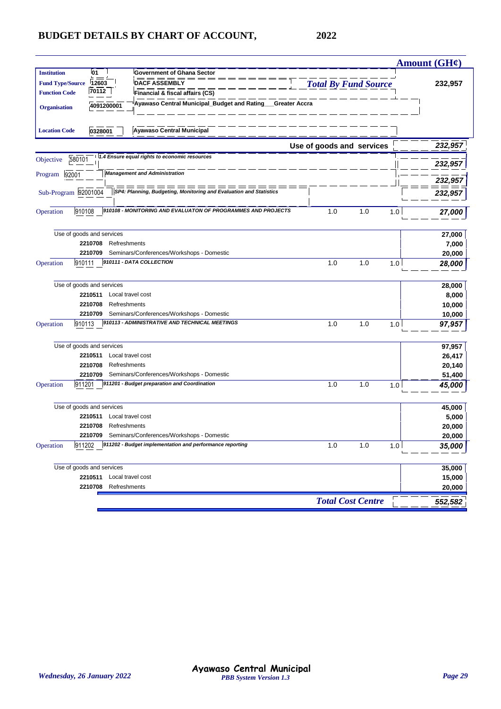|                         |                           |                                                                    |                             |     |     | Amount $(GH\mathcal{C})$ |
|-------------------------|---------------------------|--------------------------------------------------------------------|-----------------------------|-----|-----|--------------------------|
| <b>Institution</b>      | 01                        | <b>Government of Ghana Sector</b>                                  |                             |     |     |                          |
| <b>Fund Type/Source</b> | 12603                     | <b>DACF ASSEMBLY</b>                                               | <b>Total By Fund Source</b> |     |     | 232,957                  |
| <b>Function Code</b>    | 70112                     | Financial & fiscal affairs (CS)                                    |                             |     |     |                          |
| <b>Organisation</b>     | 4091200001                | Ayawaso Central Municipal_Budget and Rating__Greater Accra         |                             |     |     |                          |
|                         |                           |                                                                    |                             |     |     |                          |
| <b>Location Code</b>    | 0328001                   | <b>Ayawaso Central Municipal</b>                                   |                             |     |     |                          |
|                         |                           |                                                                    | Use of goods and services   |     |     | 232,957                  |
| 580101<br>Objective     |                           | 1.4 Ensure equal rights to economic resources                      |                             |     |     | 232,957                  |
| Program<br>92001        |                           | <b>Management and Administration</b><br>=====                      |                             |     |     | 232,957                  |
| Sub-Program 92001004    |                           | SP4: Planning, Budgeting, Monitoring and Evaluation and Statistics |                             |     |     | 232,957                  |
| 910108<br>Operation     |                           | 910108 - MONITORING AND EVALUATON OF PROGRAMMES AND PROJECTS       | 1.0                         | 1.0 | 1.0 | 27,000                   |
|                         | Use of goods and services |                                                                    |                             |     |     | 27,000                   |
|                         | 2210708<br>Refreshments   |                                                                    |                             |     |     | 7,000                    |
|                         | 2210709                   | Seminars/Conferences/Workshops - Domestic                          |                             |     |     | 20,000                   |
| 910111<br>Operation     |                           | 910111 - DATA COLLECTION                                           | 1.0                         | 1.0 | 1.0 | 28,000                   |
|                         | Use of goods and services |                                                                    |                             |     |     | 28,000                   |
|                         | 2210511                   | Local travel cost                                                  |                             |     |     | 8,000                    |
|                         | 2210708<br>Refreshments   |                                                                    |                             |     |     | 10,000                   |
|                         | 2210709                   | Seminars/Conferences/Workshops - Domestic                          |                             |     |     | 10,000                   |
| 910113<br>Operation     |                           | 910113 - ADMINISTRATIVE AND TECHNICAL MEETINGS                     | 1.0                         | 1.0 | 1.0 | 97,957                   |
|                         | Use of goods and services |                                                                    |                             |     |     | 97,957                   |
|                         | 2210511                   | Local travel cost                                                  |                             |     |     | 26,417                   |
|                         | 2210708<br>Refreshments   |                                                                    |                             |     |     | 20,140                   |
|                         | 2210709                   | Seminars/Conferences/Workshops - Domestic                          |                             |     |     | 51,400                   |
| 911201<br>Operation     |                           | 911201 - Budget preparation and Coordination                       | 1.0                         | 1.0 | 1.0 | 45,000                   |
|                         | Use of goods and services |                                                                    |                             |     |     | 45,000                   |
|                         | 2210511                   | Local travel cost                                                  |                             |     |     | 5,000                    |
|                         | 2210708<br>Refreshments   |                                                                    |                             |     |     | 20,000                   |
|                         |                           | 2210709 Seminars/Conferences/Workshops - Domestic                  |                             |     |     | 20,000                   |
| 911202<br>Operation     |                           | 911202 - Budget implementation and performance reporting           | 1.0                         | 1.0 | 1.0 | 35,000                   |
|                         | Use of goods and services |                                                                    |                             |     |     | 35,000                   |
|                         | 2210511                   | Local travel cost                                                  |                             |     |     | 15,000                   |
|                         | 2210708<br>Refreshments   |                                                                    |                             |     |     | 20,000                   |
|                         |                           |                                                                    | <b>Total Cost Centre</b>    |     |     | 552,582                  |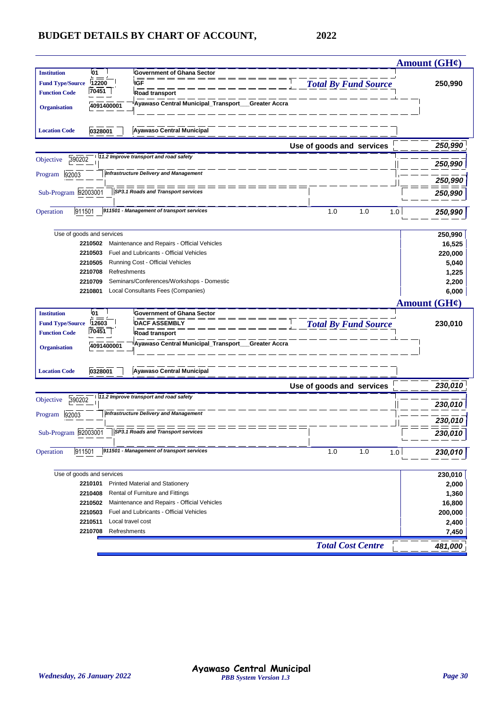|                                   |                                                    |                             | Amount (GH¢)      |
|-----------------------------------|----------------------------------------------------|-----------------------------|-------------------|
| <b>Institution</b><br>01          | Government of Ghana Sector                         |                             |                   |
| <b>Fund Type/Source</b><br>12200  | <b>IGF</b>                                         | <b>Total By Fund Source</b> | 250,990           |
| 70451<br><b>Function Code</b>     | <b>Road transport</b>                              |                             |                   |
| 4091400001<br><b>Organisation</b> | Ayawaso Central Municipal_Transport__              | Greater Accra               |                   |
| <b>Location Code</b><br>0328001   | <b>Ayawaso Central Municipal</b>                   |                             |                   |
|                                   |                                                    | Use of goods and services   | 250,990           |
| 390202<br>Objective               | 11.2 Improve transport and road safety             |                             | 250,990           |
| 92003<br>Program                  | <b>Infrastructure Delivery and Management</b>      |                             |                   |
|                                   |                                                    |                             | 250,990           |
| Sub-Program 92003001              | SP3.1 Roads and Transport services                 |                             | 250,990           |
| 911501<br>Operation               | 911501 - Management of transport services          | 1.0<br>1.0<br>1.0           | 250,990           |
| Use of goods and services         |                                                    |                             | 250,990           |
| 2210502                           | Maintenance and Repairs - Official Vehicles        |                             | 16,525            |
| 2210503                           | Fuel and Lubricants - Official Vehicles            |                             | 220,000           |
| 2210505                           | Running Cost - Official Vehicles                   |                             | 5,040             |
| 2210708                           | Refreshments                                       |                             | 1,225             |
| 2210709                           | Seminars/Conferences/Workshops - Domestic          |                             | 2,200             |
| 2210801                           | Local Consultants Fees (Companies)                 |                             | 6,000             |
|                                   |                                                    |                             | Amount $(GH\ell)$ |
| <b>Institution</b><br>01          | <b>Government of Ghana Sector</b>                  |                             |                   |
| <b>Fund Type/Source</b><br>12603  | <b>DACF ASSEMBLY</b>                               | <b>Total By Fund Source</b> | 230,010           |
| 70451<br><b>Function Code</b>     | Road transport                                     |                             |                   |
| 4091400001<br><b>Organisation</b> | Ayawaso Central Municipal_Transport__Greater Accra |                             |                   |
|                                   |                                                    |                             |                   |
| <b>Location Code</b><br>0328001   | <b>Ayawaso Central Municipal</b>                   |                             |                   |
|                                   |                                                    | Use of goods and services   | 230,010           |
| 390202<br>Objective               | 11.2 Improve transport and road safety             |                             | 230,010           |
| Program 92003                     | <b>Infrastructure Delivery and Management</b>      |                             |                   |
| Sub-Program 92003001              | $\sqrt{SP3.1$ Roads and Transport services         |                             | 230,010           |
|                                   |                                                    |                             | 230,010           |
| Operation<br>911501               | 911501 - Management of transport services          | 1.0<br>1.0<br>1.0           | 230,010           |
| Use of goods and services         |                                                    |                             | 230,010           |
| 2210101                           | <b>Printed Material and Stationery</b>             |                             | 2,000             |
| 2210408                           | Rental of Furniture and Fittings                   |                             | 1,360             |
| 2210502                           | Maintenance and Repairs - Official Vehicles        |                             | 16,800            |
| 2210503                           | Fuel and Lubricants - Official Vehicles            |                             | 200,000           |
| 2210511                           | Local travel cost                                  |                             | 2,400             |
| 2210708<br>Refreshments           |                                                    |                             | 7,450             |
|                                   |                                                    | <b>Total Cost Centre</b>    | 481,000           |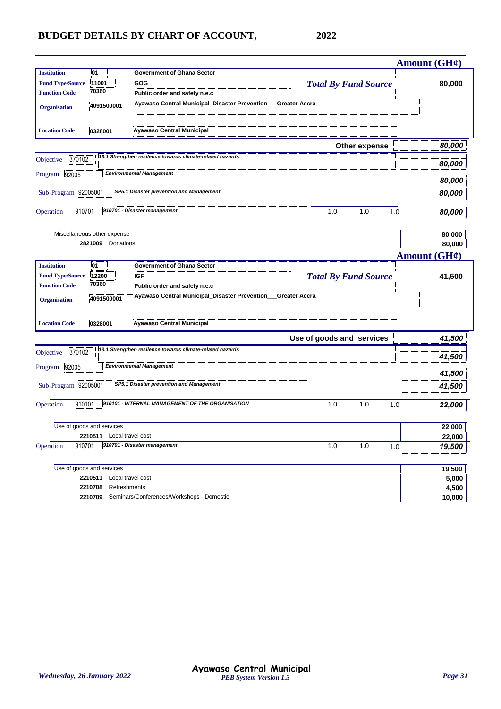|                         |                             |                                                            |                             | Amount $(GH\ell)$ |
|-------------------------|-----------------------------|------------------------------------------------------------|-----------------------------|-------------------|
| <b>Institution</b>      | 01                          | <b>Government of Ghana Sector</b>                          |                             |                   |
| <b>Fund Type/Source</b> | 11001                       | GOG                                                        | <b>Total By Fund Source</b> | 80,000            |
| <b>Function Code</b>    | 70360                       | Public order and safety n.e.c                              |                             |                   |
| <b>Organisation</b>     | 4091500001                  | Ayawaso Central Municipal_Disaster Prevention              | <b>Greater Accra</b>        |                   |
|                         |                             |                                                            |                             |                   |
| <b>Location Code</b>    | 0328001                     | <b>Ayawaso Central Municipal</b>                           |                             |                   |
|                         |                             |                                                            | Other expense               | 80,000            |
| 370102<br>Objective     |                             | 113.1 Strengthen resilence towards climate-related hazards |                             | 80,000            |
| 92005<br>Program        |                             | <b>Environmental Management</b>                            |                             |                   |
|                         |                             |                                                            |                             | 80,000            |
| Sub-Program 92005001    |                             | ========<br>SP5.1 Disaster prevention and Management       |                             | 80,000            |
| 910701<br>Operation     |                             | 910701 - Disaster management                               | 1.0<br>1.0                  | 1.0<br>80,000     |
|                         |                             |                                                            |                             |                   |
|                         | Miscellaneous other expense |                                                            |                             | 80,000            |
|                         | 2821009<br>Donations        |                                                            |                             | 80,000            |
|                         |                             |                                                            |                             | Amount (GH¢)      |
| <b>Institution</b>      | 01                          | <b>Government of Ghana Sector</b>                          |                             |                   |
| <b>Fund Type/Source</b> | 12200                       | <b>IGF</b>                                                 | <b>Total By Fund Source</b> | 41,500            |
| <b>Function Code</b>    | 70360                       | Public order and safety n.e.c                              |                             |                   |
| <b>Organisation</b>     | 4091500001                  | Ayawaso Central Municipal_Disaster Prevention              | <b>Greater Accra</b>        |                   |
|                         |                             |                                                            |                             |                   |
| <b>Location Code</b>    | 0328001                     | <b>Ayawaso Central Municipal</b>                           |                             |                   |
|                         |                             |                                                            | Use of goods and services   | 41,500            |
| 370102<br>Objective     |                             | 113.1 Strengthen resilence towards climate-related hazards |                             |                   |
|                         |                             |                                                            |                             | 41,500            |
| 92005<br>Program        |                             | <b>Environmental Management</b>                            |                             | 41,500            |
| Sub-Program 92005001    |                             | SP5.1 Disaster prevention and Management                   |                             | 41,500            |
|                         |                             |                                                            |                             |                   |
| Operation<br>910101     |                             | 910101 - INTERNAL MANAGEMENT OF THE ORGANISATION           | 1.0<br>1.0                  | 1.0<br>22,000     |
|                         |                             |                                                            |                             |                   |
|                         | Use of goods and services   |                                                            |                             | 22,000            |
|                         | 2210511                     | Local travel cost                                          |                             | 22,000            |
| 910701<br>Operation     |                             | 910701 - Disaster management                               | 1.0<br>1.0                  | 1.0<br>19,500     |
|                         | Use of goods and services   |                                                            |                             | 19,500            |
|                         | 2210511                     | Local travel cost                                          |                             | 5,000             |
|                         | 2210708<br>Refreshments     |                                                            |                             | 4,500             |
|                         | 2210709                     | Seminars/Conferences/Workshops - Domestic                  |                             | 10,000            |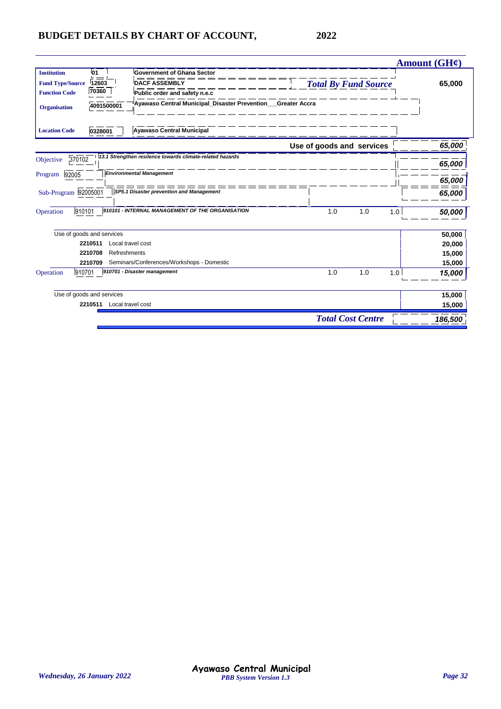|                         |                           |                                                             |     |                             |     | <b>Amount (GH¢)</b> |
|-------------------------|---------------------------|-------------------------------------------------------------|-----|-----------------------------|-----|---------------------|
| <b>Institution</b>      | 01                        | <b>Government of Ghana Sector</b>                           |     |                             |     |                     |
| <b>Fund Type/Source</b> | 12603                     | <b>DACF ASSEMBLY</b>                                        |     | <b>Total By Fund Source</b> |     | 65,000              |
| <b>Function Code</b>    | 70360                     | Public order and safety n.e.c                               |     |                             |     |                     |
| <b>Organisation</b>     | 4091500001                | Ayawaso Central Municipal_Disaster Prevention_Greater Accra |     |                             |     |                     |
| <b>Location Code</b>    | 0328001                   | <b>Ayawaso Central Municipal</b>                            |     |                             |     |                     |
|                         |                           |                                                             |     | Use of goods and services   |     | 65,000              |
| 370102<br>Objective     |                           | 13.1 Strengthen resilence towards climate-related hazards   |     |                             |     | 65,000              |
| 92005<br>Program        |                           | <b>Environmental Management</b>                             |     |                             |     | 65,000              |
| Sub-Program 92005001    |                           | SP5.1 Disaster prevention and Management                    |     |                             |     | 65,000              |
| 910101<br>Operation     |                           | 910101 - INTERNAL MANAGEMENT OF THE ORGANISATION            | 1.0 | 1.0                         | 1.0 | 50,000              |
|                         | Use of goods and services |                                                             |     |                             |     | 50,000              |
|                         | 2210511                   | Local travel cost                                           |     |                             |     | 20,000              |
|                         | 2210708                   | Refreshments                                                |     |                             |     | 15,000              |
|                         | 2210709                   | Seminars/Conferences/Workshops - Domestic                   |     |                             |     | 15,000              |
| 910701<br>Operation     |                           | 910701 - Disaster management                                | 1.0 | 1.0                         | 1.0 | 15,000              |
|                         | Use of goods and services |                                                             |     |                             |     | 15,000              |
|                         | 2210511                   | Local travel cost                                           |     |                             |     | 15,000              |
|                         |                           |                                                             |     | <b>Total Cost Centre</b>    |     | 186,500             |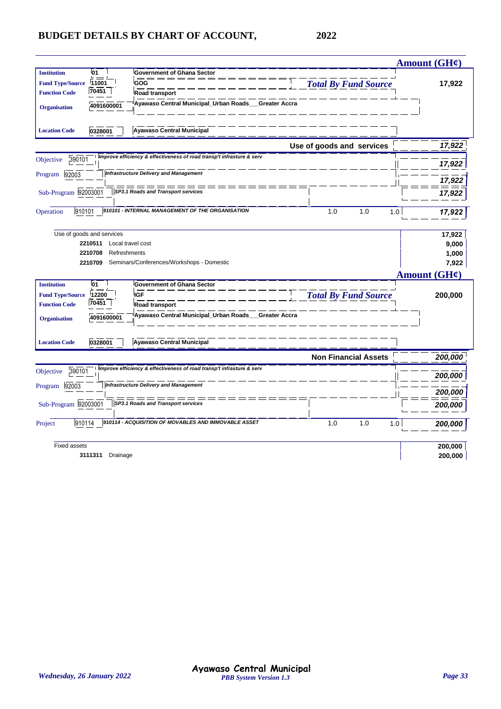|                                                                                                                                                                                                                                                                            |                             | <b>Amount (GH¢)</b>                                    |
|----------------------------------------------------------------------------------------------------------------------------------------------------------------------------------------------------------------------------------------------------------------------------|-----------------------------|--------------------------------------------------------|
| 01<br><b>Institution</b><br><b>Government of Ghana Sector</b><br>11001<br>GOG<br><b>Fund Type/Source</b><br>70451<br><b>Function Code</b><br>Road transport                                                                                                                | <b>Total By Fund Source</b> | 17,922                                                 |
| Ayawaso Central Municipal_Urban Roads__Greater Accra<br>4091600001<br><b>Organisation</b><br><b>Ayawaso Central Municipal</b><br><b>Location Code</b><br>0328001                                                                                                           |                             |                                                        |
|                                                                                                                                                                                                                                                                            | Use of goods and services   | 17,922                                                 |
| Improve efficiency & effectiveness of road transp't infrasture & serv<br>390101<br>Objective                                                                                                                                                                               |                             | 17,922                                                 |
| <b>Infrastructure Delivery and Management</b><br>92003<br>Program                                                                                                                                                                                                          |                             | 17,922                                                 |
| ==<br>Sub-Program 92003001<br>SP3.1 Roads and Transport services                                                                                                                                                                                                           |                             | 17,922                                                 |
| 910101 - INTERNAL MANAGEMENT OF THE ORGANISATION<br>910101<br>Operation                                                                                                                                                                                                    | 1.0<br>1.0                  | 1.0<br>17,922                                          |
| Use of goods and services<br>2210511<br>Local travel cost<br>2210708<br>Refreshments<br>Seminars/Conferences/Workshops - Domestic<br>2210709                                                                                                                               |                             | 17,922<br>9,000<br>1,000<br>7,922<br>Amount $(GH\ell)$ |
| l01<br><b>Institution</b><br><b>Government of Ghana Sector</b><br><b>IGF</b><br>12200<br><b>Fund Type/Source</b><br>70451<br><b>Function Code</b><br>Road transport<br>Ayawaso Central Municipal_Urban Roads_<br><b>Greater Accra</b><br>4091600001<br><b>Organisation</b> | <b>Total By Fund Source</b> | 200,000                                                |
| <b>Ayawaso Central Municipal</b><br><b>Location Code</b><br>0328001                                                                                                                                                                                                        |                             |                                                        |
|                                                                                                                                                                                                                                                                            |                             |                                                        |
|                                                                                                                                                                                                                                                                            | <b>Non Financial Assets</b> | 200,000                                                |
| Improve efficiency & effectiveness of road transp't infrasture & serv<br>390101<br>Objective                                                                                                                                                                               |                             | 200,000                                                |
| <b>Infrastructure Delivery and Management</b><br>92003<br>Program                                                                                                                                                                                                          |                             | 200,000                                                |
| Sub-Program 92003001<br>SP3.1 Roads and Transport services                                                                                                                                                                                                                 |                             | 200,000                                                |
| 910114 - ACQUISITION OF MOVABLES AND IMMOVABLE ASSET<br>910114<br>Project                                                                                                                                                                                                  | 1.0<br>1.0                  | 1.0<br>200,000                                         |
| <b>Fixed assets</b>                                                                                                                                                                                                                                                        |                             | 200,000                                                |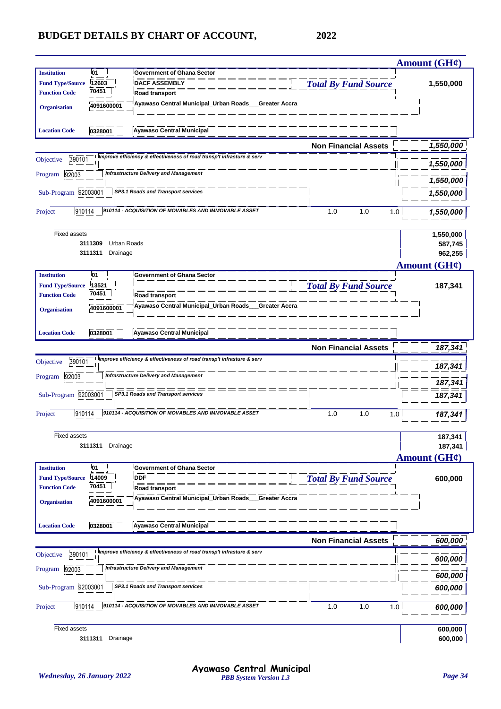|                         |                        |                                                                         |                             | Amount $(GH\mathcal{C})$ |
|-------------------------|------------------------|-------------------------------------------------------------------------|-----------------------------|--------------------------|
| <b>Institution</b>      | 01                     | <b>Government of Ghana Sector</b>                                       |                             |                          |
| <b>Fund Type/Source</b> | 12603                  | <b>DACF ASSEMBLY</b>                                                    | <b>Total By Fund Source</b> | 1,550,000                |
| <b>Function Code</b>    | 70451                  | Road transport                                                          |                             |                          |
| <b>Organisation</b>     | 4091600001             | Ayawaso Central Municipal_Urban Roads_<br>Greater Accra                 |                             |                          |
|                         |                        |                                                                         |                             |                          |
| <b>Location Code</b>    | 0328001                | <b>Ayawaso Central Municipal</b>                                        |                             |                          |
|                         |                        |                                                                         | <b>Non Financial Assets</b> | 1,550,000                |
| 390101<br>Objective     |                        | Improve efficiency & effectiveness of road transp't infrasture & serv   |                             | 1,550,000                |
| 92003<br>Program        |                        | <b>Infrastructure Delivery and Management</b>                           |                             | 1,550,000                |
| Sub-Program 92003001    |                        | SP3.1 Roads and Transport services                                      |                             | 1,550,000                |
|                         |                        |                                                                         |                             |                          |
| 910114<br>Project       |                        | 910114 - ACQUISITION OF MOVABLES AND IMMOVABLE ASSET                    | 1.0<br>1.0<br>1.0           | 1,550,000                |
|                         |                        |                                                                         |                             |                          |
| <b>Fixed assets</b>     | 3111309<br>Urban Roads |                                                                         |                             | 1,550,000<br>587,745     |
|                         | 3111311<br>Drainage    |                                                                         |                             | 962,255                  |
|                         |                        |                                                                         |                             | Amount $(GH\mathcal{C})$ |
| <b>Institution</b>      | 01                     | <b>Government of Ghana Sector</b>                                       |                             |                          |
| <b>Fund Type/Source</b> | 13521                  |                                                                         | <b>Total By Fund Source</b> | 187,341                  |
| <b>Function Code</b>    | 70451                  | Road transport                                                          |                             |                          |
| <b>Organisation</b>     | 4091600001             | Ayawaso Central Municipal_Urban Roads_<br>Greater Accra                 |                             |                          |
|                         |                        |                                                                         |                             |                          |
| <b>Location Code</b>    | 0328001                | <b>Ayawaso Central Municipal</b>                                        |                             |                          |
|                         |                        |                                                                         | <b>Non Financial Assets</b> | 187,341                  |
| 390101<br>Objective     |                        | Improve efficiency & effectiveness of road transp't infrasture & serv   |                             | 187,341                  |
| 92003<br>Program        |                        | <b>Infrastructure Delivery and Management</b>                           |                             |                          |
|                         |                        |                                                                         |                             | 187,341                  |
| Sub-Program 92003001    |                        | SP3.1 Roads and Transport services                                      |                             | 187,341                  |
| 910114<br>Project       |                        | 910114 - ACQUISITION OF MOVABLES AND IMMOVABLE ASSET                    | 1.0<br>1.0<br>1.0           | 187,341                  |
|                         |                        |                                                                         |                             |                          |
| <b>Fixed assets</b>     |                        |                                                                         |                             | 187,341                  |
|                         | 3111311<br>Drainage    |                                                                         |                             | 187,341                  |
|                         |                        |                                                                         |                             | Amount (GH¢)             |
| <b>Institution</b>      | 01                     | Government of Ghana Sector                                              |                             |                          |
| <b>Fund Type/Source</b> | 14009<br>70451         | <b>DDF</b>                                                              | <b>Total By Fund Source</b> | 600,000                  |
| <b>Function Code</b>    |                        | Road transport<br>Ayawaso Central Municipal_Urban Roads___Greater Accra |                             |                          |
| <b>Organisation</b>     | 4091600001             |                                                                         |                             |                          |
|                         |                        |                                                                         |                             |                          |
| <b>Location Code</b>    | 0328001                | <b>Ayawaso Central Municipal</b>                                        |                             |                          |
|                         |                        |                                                                         | <b>Non Financial Assets</b> | 600,000                  |
| 390101<br>Objective     |                        | Improve efficiency & effectiveness of road transp't infrasture & serv   |                             | 600,000                  |
| 92003<br>Program        |                        | <b>Infrastructure Delivery and Management</b>                           |                             |                          |
| Sub-Program 92003001    |                        | SP3.1 Roads and Transport services                                      |                             | 600,000                  |
|                         |                        |                                                                         |                             | 600,000                  |
| 910114<br>Project       |                        | 910114 - ACQUISITION OF MOVABLES AND IMMOVABLE ASSET                    | 1.0<br>1.0<br>1.0           | 600,000                  |
|                         |                        |                                                                         |                             |                          |
| Fixed assets            | 3111311<br>Drainage    |                                                                         |                             | 600,000<br>600,000       |
|                         |                        |                                                                         |                             |                          |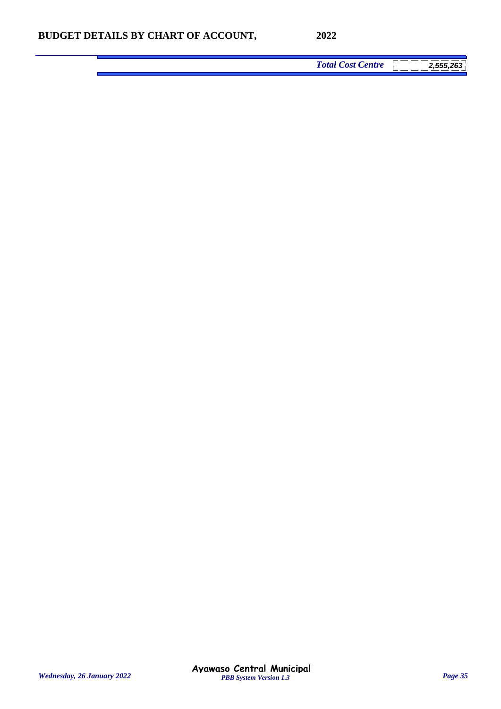*Total Cost Centre 2,555,263*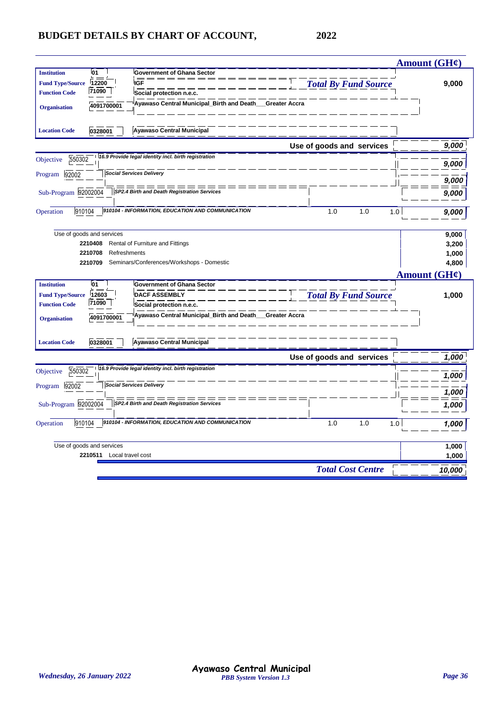|                                   |                                                       |                             | Amount $(GH\ell)$ |
|-----------------------------------|-------------------------------------------------------|-----------------------------|-------------------|
| 01<br><b>Institution</b>          | <b>Government of Ghana Sector</b>                     |                             |                   |
| 12200<br><b>Fund Type/Source</b>  | <b>IGF</b>                                            | <b>Total By Fund Source</b> | 9,000             |
| 71090<br><b>Function Code</b>     | Social protection n.e.c.                              |                             |                   |
| 4091700001<br><b>Organisation</b> | Ayawaso Central Municipal_Birth and Death_            | Greater Accra               |                   |
|                                   |                                                       |                             |                   |
| <b>Location Code</b><br>0328001   | <b>Ayawaso Central Municipal</b>                      |                             |                   |
|                                   |                                                       | Use of goods and services   | 9,000             |
| 550302<br>Objective               | 16.9 Provide legal identity incl. birth registration  |                             |                   |
|                                   |                                                       |                             | 9,000             |
| Program 92002                     | <b>Social Services Delivery</b>                       |                             | 9,000             |
| Sub-Program 92002004              | SP2.4 Birth and Death Registration Services           |                             |                   |
|                                   |                                                       |                             | 9,000             |
| 910104<br>Operation               | 910104 - INFORMATION, EDUCATION AND COMMUNICATION     | 1.0<br>1.0<br>1.0           | 9,000             |
|                                   |                                                       |                             |                   |
| Use of goods and services         |                                                       |                             | 9,000             |
| 2210408                           | Rental of Furniture and Fittings                      |                             | 3,200             |
| 2210708<br>Refreshments           |                                                       |                             | 1,000             |
| 2210709                           | Seminars/Conferences/Workshops - Domestic             |                             | 4,800             |
|                                   |                                                       |                             | Amount (GH¢)      |
| 01<br><b>Institution</b>          | <b>Government of Ghana Sector</b>                     |                             |                   |
| 12603<br><b>Fund Type/Source</b>  | <b>DACF ASSEMBLY</b>                                  | <b>Total By Fund Source</b> | 1,000             |
| 71090<br><b>Function Code</b>     | Social protection n.e.c.                              |                             |                   |
| 4091700001<br><b>Organisation</b> | Ayawaso Central Municipal_Birth and Death__           | Greater Accra               |                   |
|                                   |                                                       |                             |                   |
|                                   |                                                       |                             |                   |
| <b>Location Code</b><br>0328001   | <b>Ayawaso Central Municipal</b>                      |                             |                   |
|                                   |                                                       | Use of goods and services   | 1,000             |
| 550302<br>Objective               | 116.9 Provide legal identity incl. birth registration |                             | 1,000             |
| 92002<br>Program                  | <b>Social Services Delivery</b>                       |                             | 1,000             |
| Sub-Program 92002004              | SP2.4 Birth and Death Registration Services           |                             |                   |
|                                   |                                                       |                             | 1,000             |
| 910104<br>Operation               | 910104 - INFORMATION, EDUCATION AND COMMUNICATION     | 1.0<br>1.0<br>1.0           | 1,000             |
|                                   |                                                       |                             |                   |
| Use of goods and services         |                                                       |                             | 1,000             |
| 2210511 Local travel cost         |                                                       |                             | 1,000             |
|                                   |                                                       | <b>Total Cost Centre</b>    | 10,000            |
|                                   |                                                       |                             |                   |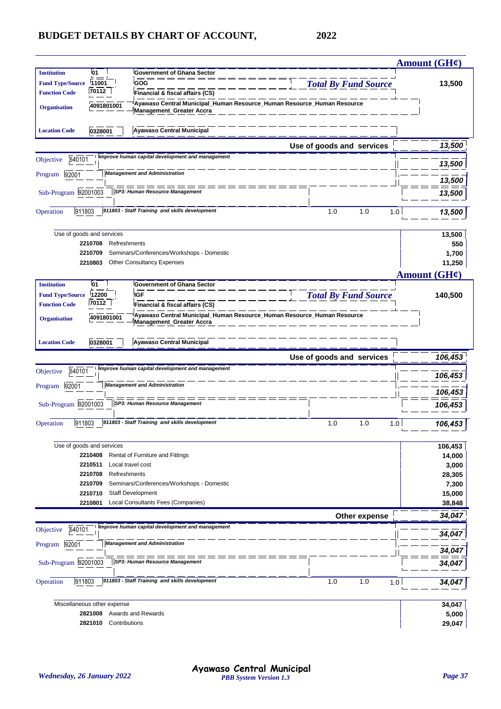|                                                 |                                      |                                                                                                           |                             | Amount (GH¢)      |
|-------------------------------------------------|--------------------------------------|-----------------------------------------------------------------------------------------------------------|-----------------------------|-------------------|
| <b>Institution</b>                              | 01                                   | <b>Government of Ghana Sector</b>                                                                         |                             |                   |
| <b>Fund Type/Source</b>                         | 11001                                | <b>GOG</b>                                                                                                | <b>Total By Fund Source</b> | 13,500            |
| <b>Function Code</b>                            | 70112                                | Financial & fiscal affairs (CS)                                                                           |                             |                   |
| <b>Organisation</b>                             | 4091801001                           | Ayawaso Central Municipal_Human Resource_Human Resource_Human Resource<br><b>Management_Greater Accra</b> |                             |                   |
| <b>Location Code</b>                            | 0328001                              | Ayawaso Central Municipal                                                                                 |                             |                   |
|                                                 |                                      |                                                                                                           | Use of goods and services   | 13,500            |
| 640101<br>Objective                             |                                      | Improve human capital development and management                                                          |                             | 13,500            |
| 92001<br>Program                                |                                      | <b>Management and Administration</b>                                                                      |                             |                   |
|                                                 |                                      | = == == == == =                                                                                           |                             | 13,500            |
| Sub-Program 92001003                            |                                      | SP3: Human Resource Management                                                                            |                             | 13,500            |
| 911803<br>Operation                             |                                      | 911803 - Staff Training and skills development                                                            | 1.0<br>1.0                  | 1.0<br>13,500     |
|                                                 |                                      |                                                                                                           |                             |                   |
|                                                 | Use of goods and services            |                                                                                                           |                             | 13,500            |
|                                                 | 2210708<br>Refreshments              |                                                                                                           |                             | 550               |
|                                                 | 2210709                              | Seminars/Conferences/Workshops - Domestic                                                                 |                             | 1,700             |
|                                                 | 2210803                              | <b>Other Consultancy Expenses</b>                                                                         |                             | 11,250            |
|                                                 |                                      |                                                                                                           |                             | Amount $(GH\ell)$ |
| <b>Institution</b>                              | 01                                   | <b>Government of Ghana Sector</b><br><b>IGF</b>                                                           |                             |                   |
| <b>Fund Type/Source</b><br><b>Function Code</b> | 12200<br>70112                       | Financial & fiscal affairs (CS)                                                                           | <b>Total By Fund Source</b> | 140,500           |
|                                                 |                                      | ˈAyawaso Central Municipal_Human Resource_Human Resource_Human Resource                                   |                             |                   |
| <b>Organisation</b>                             | 4091801001                           | <b>Management_Greater Accra</b>                                                                           |                             |                   |
|                                                 |                                      |                                                                                                           |                             |                   |
| <b>Location Code</b>                            | 0328001                              | <b>Ayawaso Central Municipal</b>                                                                          |                             |                   |
|                                                 |                                      |                                                                                                           |                             |                   |
|                                                 |                                      |                                                                                                           | Use of goods and services   | 106,453           |
| 640101<br>Objective                             |                                      | Improve human capital development and management                                                          |                             |                   |
| 92001<br>Program                                |                                      | <b>Management and Administration</b>                                                                      |                             | 106,453           |
|                                                 |                                      |                                                                                                           |                             | 106,453           |
| Sub-Program 92001003                            |                                      | SP3: Human Resource Management                                                                            |                             | 106,453           |
|                                                 |                                      | 911803 - Staff Training and skills development                                                            |                             |                   |
| 911803<br>Operation                             |                                      |                                                                                                           | 1.0<br>1.0                  | 1.0<br>106,453    |
|                                                 |                                      |                                                                                                           |                             |                   |
|                                                 | Use of goods and services<br>2210408 | Rental of Furniture and Fittings                                                                          |                             | 106,453<br>14,000 |
|                                                 | 2210511                              | Local travel cost                                                                                         |                             | 3,000             |
|                                                 | 2210708<br>Refreshments              |                                                                                                           |                             | 28,305            |
|                                                 | 2210709                              | Seminars/Conferences/Workshops - Domestic                                                                 |                             | 7,300             |
|                                                 | 2210710                              | <b>Staff Development</b>                                                                                  |                             | 15,000            |
|                                                 | 2210801                              | Local Consultants Fees (Companies)                                                                        |                             | 38,848            |
|                                                 |                                      |                                                                                                           | Other expense               | 34,047            |
| 640101<br>Objective                             |                                      | Improve human capital development and management                                                          |                             | 34,047            |
| 92001<br>Program                                |                                      | <b>Management and Administration</b>                                                                      |                             |                   |
|                                                 |                                      | $=$ $=$ $=$                                                                                               |                             | 34,047            |
| Sub-Program 92001003                            |                                      | SP3: Human Resource Management                                                                            |                             | 34,04             |
| 911803<br>Operation                             |                                      | 911803 - Staff Training and skills development                                                            | 1.0<br>1.0                  | 1.0<br>34,04      |
|                                                 |                                      |                                                                                                           |                             |                   |
|                                                 | Miscellaneous other expense          |                                                                                                           |                             | 34,047            |
|                                                 | 2821008<br>Contributions<br>2821010  | Awards and Rewards                                                                                        |                             | 5,000<br>29,047   |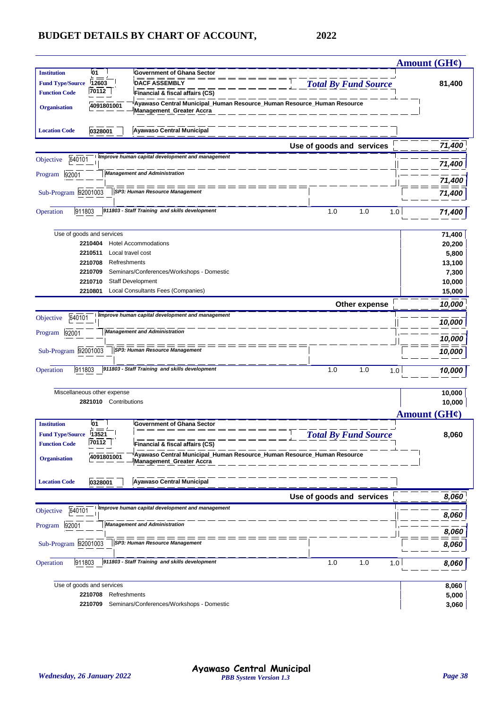|                         |                                    |                                                                                                           |                             | Amount (GH¢)        |
|-------------------------|------------------------------------|-----------------------------------------------------------------------------------------------------------|-----------------------------|---------------------|
| <b>Institution</b>      | 01                                 | <b>Government of Ghana Sector</b>                                                                         |                             |                     |
| <b>Fund Type/Source</b> | 12603                              | <b>DACF ASSEMBLY</b>                                                                                      | <b>Total By Fund Source</b> | 81,400              |
| <b>Function Code</b>    | 70112                              | Financial & fiscal affairs (CS)                                                                           |                             |                     |
| <b>Organisation</b>     | 4091801001                         | Ayawaso Central Municipal_Human Resource_Human Resource_Human Resource<br><b>Management_Greater Accra</b> |                             |                     |
|                         |                                    |                                                                                                           |                             |                     |
| <b>Location Code</b>    | 0328001                            | <b>Ayawaso Central Municipal</b>                                                                          |                             |                     |
|                         |                                    |                                                                                                           | Use of goods and services   | 71,400              |
| 640101                  |                                    | Improve human capital development and management                                                          |                             |                     |
| Objective               |                                    |                                                                                                           |                             | 71,400              |
| 92001<br>Program        |                                    | <b>Management and Administration</b>                                                                      |                             | 71,400              |
| Sub-Program 92001003    |                                    | = == == == == =<br>= :<br>SP3: Human Resource Management                                                  |                             | 71,400              |
|                         |                                    |                                                                                                           |                             |                     |
| 911803<br>Operation     |                                    | 911803 - Staff Training and skills development                                                            | 1.0<br>1.0<br>1.0           | 71,400              |
|                         |                                    |                                                                                                           |                             |                     |
|                         | Use of goods and services          |                                                                                                           |                             | 71,400              |
|                         | 2210404                            | <b>Hotel Accommodations</b>                                                                               |                             | 20,200              |
|                         | 2210511<br>Local travel cost       |                                                                                                           |                             | 5,800               |
|                         | 2210708<br>Refreshments<br>2210709 | Seminars/Conferences/Workshops - Domestic                                                                 |                             | 13,100              |
|                         | 2210710                            | <b>Staff Development</b>                                                                                  |                             | 7,300<br>10,000     |
|                         | 2210801                            | Local Consultants Fees (Companies)                                                                        |                             | 15,000              |
|                         |                                    |                                                                                                           | Other expense               | 10,000              |
|                         |                                    | Improve human capital development and management                                                          |                             |                     |
| 640101<br>Objective     |                                    |                                                                                                           |                             | 10,000              |
| 92001<br>Program        |                                    | <b>Management and Administration</b>                                                                      |                             | 10,000              |
|                         |                                    |                                                                                                           |                             |                     |
| Sub-Program 92001003    |                                    | SP3: Human Resource Management                                                                            |                             | 10,000              |
| 911803<br>Operation     |                                    | 911803 - Staff Training and skills development                                                            | 1.0<br>1.0<br>1.0           | 10,000              |
|                         |                                    |                                                                                                           |                             |                     |
|                         | Miscellaneous other expense        |                                                                                                           |                             | 10,000              |
|                         | 2821010 Contributions              |                                                                                                           |                             | 10,000              |
|                         |                                    |                                                                                                           |                             | <b>Amount (GH¢)</b> |
| <b>Institution</b>      | 01                                 | <b>Government of Ghana Sector</b>                                                                         |                             |                     |
| <b>Fund Type/Source</b> | 13521                              |                                                                                                           | <b>Total By Fund Source</b> | 8,060               |
| <b>Function Code</b>    | 70112                              | Financial & fiscal affairs (CS)                                                                           |                             |                     |
| <b>Organisation</b>     | 4091801001                         | Ayawaso Central Municipal Human Resource Human Resource Human Resource                                    |                             |                     |
|                         |                                    | <b>Management_Greater Accra</b>                                                                           |                             |                     |
| <b>Location Code</b>    | 0328001                            | <b>Ayawaso Central Municipal</b>                                                                          |                             |                     |
|                         |                                    |                                                                                                           |                             |                     |
|                         |                                    | Improve human capital development and management                                                          | Use of goods and services   | 8,060               |
| 640101<br>Objective     |                                    |                                                                                                           |                             | 8,060               |
| 92001<br>Program        |                                    | <b>Management and Administration</b>                                                                      |                             |                     |
|                         |                                    |                                                                                                           |                             | 8,060               |
| Sub-Program 92001003    |                                    | SP3: Human Resource Management                                                                            |                             | 8,060               |
| 911803<br>Operation     |                                    | 911803 - Staff Training and skills development                                                            | 1.0<br>1.0<br>1.0           | 8,060               |
|                         |                                    |                                                                                                           |                             |                     |
|                         | Use of goods and services          |                                                                                                           |                             | 8,060               |
|                         | 2210708<br>Refreshments            |                                                                                                           |                             | 5,000               |
|                         | 2210709                            | Seminars/Conferences/Workshops - Domestic                                                                 |                             | 3,060               |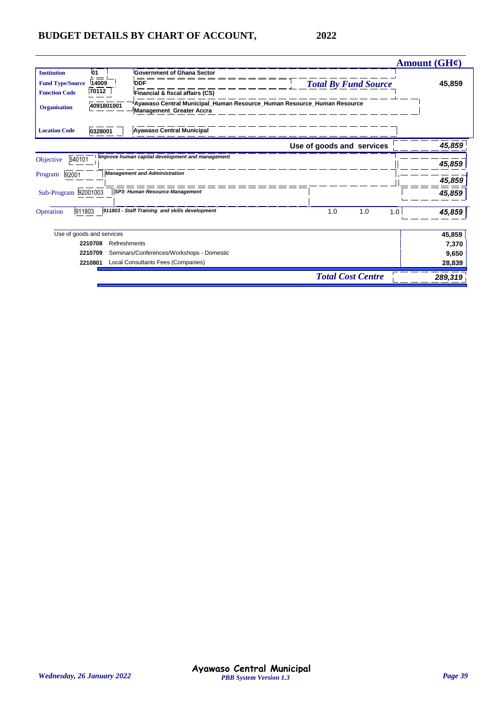|                         |                           |                                                                                                           |                             | Amount $(GH\ell)$ |
|-------------------------|---------------------------|-----------------------------------------------------------------------------------------------------------|-----------------------------|-------------------|
| <b>Institution</b>      | 01                        | <b>Government of Ghana Sector</b>                                                                         |                             |                   |
| <b>Fund Type/Source</b> | 14009                     | <b>DDF</b>                                                                                                | <b>Total By Fund Source</b> | 45,859            |
| <b>Function Code</b>    | 70112                     | Financial & fiscal affairs (CS)                                                                           |                             |                   |
| <b>Organisation</b>     | 4091801001                | Ayawaso Central Municipal_Human Resource_Human Resource_Human Resource<br><b>Management Greater Accra</b> |                             |                   |
| <b>Location Code</b>    | 0328001                   | <b>Ayawaso Central Municipal</b>                                                                          |                             |                   |
|                         |                           |                                                                                                           | Use of goods and services   | 45,859            |
| 640101<br>Objective     |                           | Improve human capital development and management                                                          |                             | 45,859            |
| 92001<br>Program        |                           | <b>Management and Administration</b>                                                                      |                             | 45,859            |
| Sub-Program 92001003    |                           | SP3: Human Resource Management                                                                            |                             | 45,859            |
| 911803<br>Operation     |                           | 911803 - Staff Training and skills development                                                            | 1.0<br>1.0                  | 1.0<br>45,859     |
|                         | Use of goods and services |                                                                                                           |                             | 45,859            |
|                         | 2210708<br>Refreshments   |                                                                                                           |                             | 7,370             |
|                         | 2210709                   | Seminars/Conferences/Workshops - Domestic                                                                 |                             | 9,650             |
|                         | 2210801                   | Local Consultants Fees (Companies)                                                                        |                             | 28,839            |
|                         |                           |                                                                                                           | <b>Total Cost Centre</b>    | 289,319           |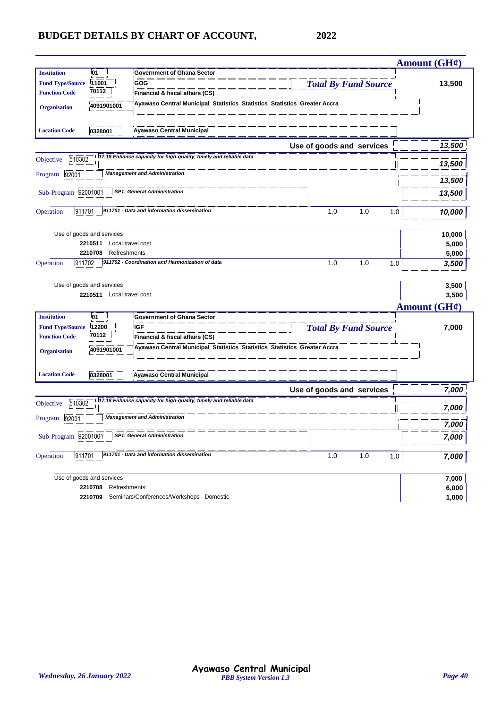|                                                                      |                           |                                                                          |                             | Amount $(GH\mathcal{C})$ |
|----------------------------------------------------------------------|---------------------------|--------------------------------------------------------------------------|-----------------------------|--------------------------|
| <b>Institution</b>                                                   | 01                        | <b>Government of Ghana Sector</b>                                        |                             |                          |
| <b>Fund Type/Source</b>                                              | 11001                     | GOG                                                                      | <b>Total By Fund Source</b> | 13,500                   |
| <b>Function Code</b>                                                 | 70112                     | Financial & fiscal affairs (CS)                                          |                             |                          |
| <b>Organisation</b>                                                  | 4091901001                | Ayawaso Central Municipal_Statistics_Statistics_Statistics_Greater Accra |                             |                          |
|                                                                      |                           |                                                                          |                             |                          |
| <b>Location Code</b>                                                 | 0328001                   | Ayawaso Central Municipal                                                |                             |                          |
|                                                                      |                           |                                                                          | Use of goods and services   | 13,500                   |
| 510302<br>Objective                                                  |                           | 17.18 Enhance capacity for high-quality, timely and reliable data        |                             | 13,500                   |
| 92001<br>Program                                                     |                           | <b>Management and Administration</b>                                     |                             |                          |
|                                                                      |                           |                                                                          |                             | 13,500                   |
| Sub-Program 92001001                                                 |                           | <b>SP1: General Administration</b>                                       |                             | 13,500                   |
| 911701<br>Operation                                                  |                           | 911701 - Data and information dissemination                              | 1.0<br>1.0<br>1.0           | 10,000                   |
|                                                                      |                           |                                                                          |                             |                          |
|                                                                      | Use of goods and services |                                                                          |                             | 10,000                   |
|                                                                      | 2210511<br>2210708        | Local travel cost<br>Refreshments                                        |                             | 5,000                    |
| Operation<br>911702                                                  |                           | 911702 - Coordination and Harmonization of data                          | 1.0<br>1.0<br>1.0           | 5,000<br>3,500           |
|                                                                      |                           |                                                                          |                             |                          |
|                                                                      | Use of goods and services |                                                                          |                             | 3,500                    |
|                                                                      | 2210511 Local travel cost |                                                                          |                             | 3,500                    |
|                                                                      |                           |                                                                          |                             | Amount (GH¢)             |
| <b>Institution</b>                                                   | 01                        | <b>Government of Ghana Sector</b>                                        |                             |                          |
| <b>Fund Type/Source</b>                                              | 12200                     | <b>IGF</b>                                                               | <b>Total By Fund Source</b> | 7,000                    |
| <b>Function Code</b>                                                 | 70112                     | Financial & fiscal affairs (CS)                                          |                             |                          |
| <b>Organisation</b>                                                  | 4091901001                | Ayawaso Central Municipal_Statistics_Statistics_Statistics_Greater Accra |                             |                          |
|                                                                      |                           |                                                                          |                             |                          |
| <b>Location Code</b>                                                 | 0328001                   | <b>Ayawaso Central Municipal</b>                                         |                             |                          |
|                                                                      |                           |                                                                          | Use of goods and services   | 7,000                    |
| 510302<br>Objective                                                  |                           | 17.18 Enhance capacity for high-quality, timely and reliable data        |                             | 7,000                    |
| 92001<br>Program                                                     |                           | <b>Management and Administration</b>                                     |                             | 7,000                    |
| Sub-Program 92001001                                                 |                           | SP1: General Administration                                              |                             | 7,000                    |
|                                                                      |                           | 911701 - Data and information dissemination                              |                             |                          |
| 911701<br>Operation                                                  |                           |                                                                          | 1.0<br>1.0<br>1.0           | 7,000                    |
|                                                                      | Use of goods and services |                                                                          |                             | 7,000                    |
| 2210708<br>Refreshments<br>Seminars/Conferences/Workshops - Domestic |                           |                                                                          |                             | 6,000                    |
| 2210709                                                              | 1,000                     |                                                                          |                             |                          |